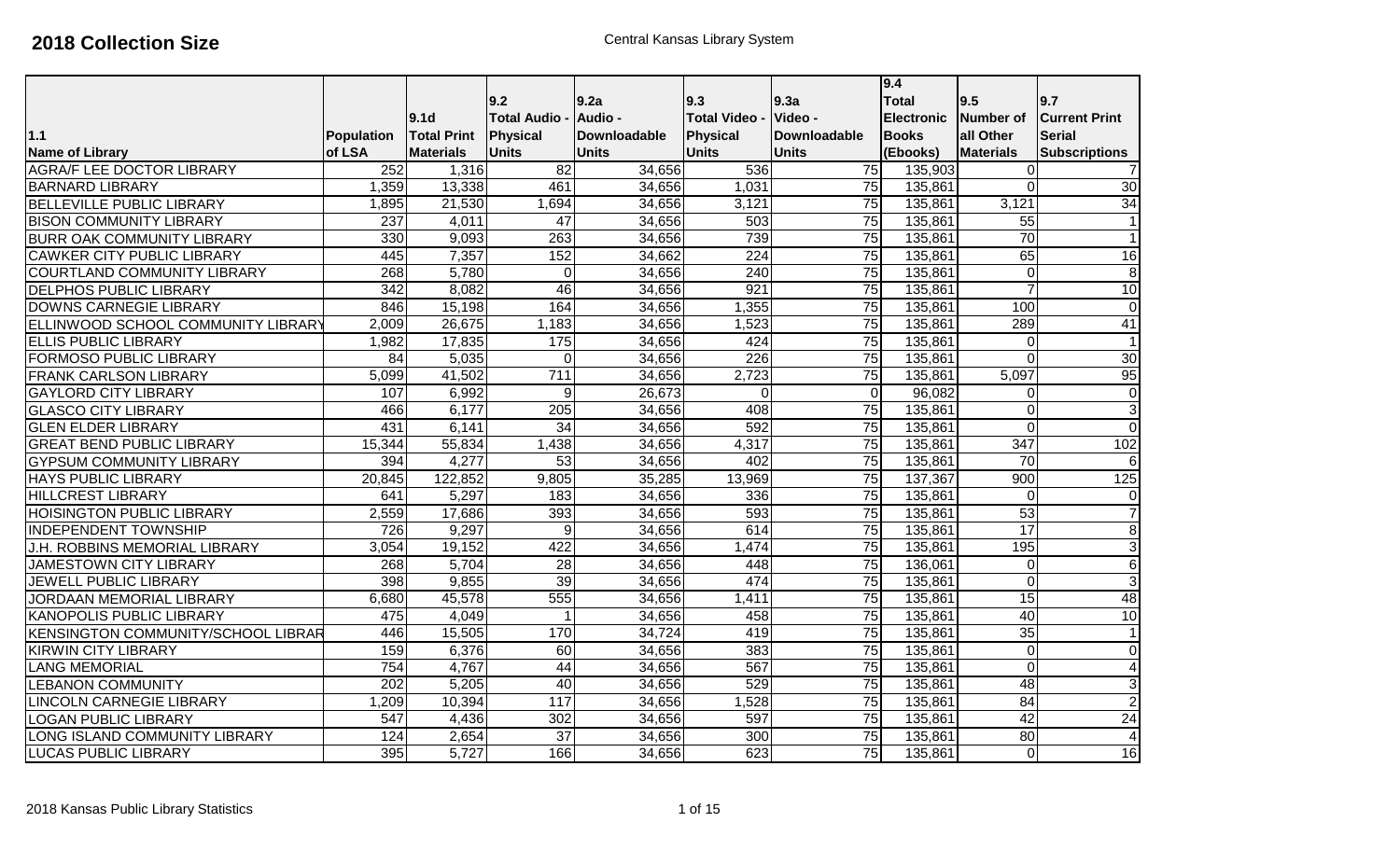|                                           |                   |                    |                    |              |                      |                 | 9.4               |                         |                          |
|-------------------------------------------|-------------------|--------------------|--------------------|--------------|----------------------|-----------------|-------------------|-------------------------|--------------------------|
|                                           |                   |                    | 9.2                | 9.2a         | 9.3                  | 9.3a            | <b>Total</b>      | 9.5                     | 9.7                      |
|                                           |                   | 9.1 <sub>d</sub>   | <b>Total Audio</b> | Audio -      | <b>Total Video -</b> | Video -         | <b>Electronic</b> | Number of               | <b>Current Print</b>     |
| $1.1$                                     | <b>Population</b> | <b>Total Print</b> | Physical           | Downloadable | <b>Physical</b>      | Downloadable    | <b>Books</b>      | all Other               | <b>Serial</b>            |
| <b>Name of Library</b>                    | of LSA            | <b>Materials</b>   | <b>Units</b>       | <b>Units</b> | <b>Units</b>         | <b>Units</b>    | (Ebooks)          | <b>Materials</b>        | <b>Subscriptions</b>     |
| <b>AGRA/F LEE DOCTOR LIBRARY</b>          | 252               | 1,316              | $\overline{82}$    | 34,656       | 536                  | $\overline{75}$ | 135,903           | $\overline{0}$          | $\overline{7}$           |
| <b>BARNARD LIBRARY</b>                    | 1,359             | 13,338             | 461                | 34,656       | 1,031                | 75              | 135,861           | $\overline{0}$          | 30                       |
| <b>BELLEVILLE PUBLIC LIBRARY</b>          | 1,895             | 21,530             | 1,694              | 34,656       | 3,121                | 75              | 135,861           | 3,121                   | 34                       |
| <b>BISON COMMUNITY LIBRARY</b>            | $\overline{237}$  | 4,011              | $\overline{47}$    | 34,656       | 503                  | 75              | 135,861           | 55                      | $\mathbf{1}$             |
| <b>BURR OAK COMMUNITY LIBRARY</b>         | 330               | 9,093              | 263                | 34,656       | 739                  | 75              | 135,861           | 70                      | $\mathbf{1}$             |
| <b>CAWKER CITY PUBLIC LIBRARY</b>         | 445               | 7,357              | 152                | 34,662       | $\overline{224}$     | 75              | 135,861           | 65                      | 16                       |
| <b>COURTLAND COMMUNITY LIBRARY</b>        | 268               | 5,780              | $\overline{0}$     | 34,656       | 240                  | 75              | 135,861           | $\mathbf 0$             | $\, 8$                   |
| <b>DELPHOS PUBLIC LIBRARY</b>             | 342               | 8,082              | 46                 | 34,656       | 921                  | 75              | 135,861           | $\overline{7}$          | $\overline{10}$          |
| DOWNS CARNEGIE LIBRARY                    | 846               | 15,198             | 164                | 34,656       | 1,355                | 75              | 135,861           | 100                     | $\mathbf{0}$             |
| ELLINWOOD SCHOOL COMMUNITY LIBRARY        | 2,009             | 26,675             | 1,183              | 34,656       | 1,523                | 75              | 135,861           | 289                     | 41                       |
| <b>ELLIS PUBLIC LIBRARY</b>               | 1,982             | 17,835             | 175                | 34,656       | 424                  | 75              | 135,861           | $\mathbf 0$             | $\mathbf{1}$             |
| FORMOSO PUBLIC LIBRARY                    | $\overline{84}$   | 5,035              | $\overline{0}$     | 34,656       | $\overline{226}$     | 75              | 135,861           | $\overline{0}$          | 30                       |
| <b>FRANK CARLSON LIBRARY</b>              | 5,099             | 41,502             | $\overline{711}$   | 34,656       | 2,723                | $\overline{75}$ | 135,861           | 5,097                   | 95                       |
| <b>GAYLORD CITY LIBRARY</b>               | 107               | 6,992              | 9                  | 26,673       | $\mathbf 0$          | $\Omega$        | 96,082            | $\mathbf 0$             | $\overline{0}$           |
| <b>GLASCO CITY LIBRARY</b>                | 466               | 6,177              | 205                | 34,656       | 408                  | $\overline{75}$ | 135,861           | $\overline{O}$          | $\mathbf{3}$             |
| <b>GLEN ELDER LIBRARY</b>                 | 431               | 6,141              | 34                 | 34,656       | 592                  | 75              | 135,861           | $\overline{0}$          | $\overline{0}$           |
| <b>GREAT BEND PUBLIC LIBRARY</b>          | 15,344            | 55,834             | 1,438              | 34,656       | 4,317                | 75              | 135,861           | 347                     | 102                      |
| <b>GYPSUM COMMUNITY LIBRARY</b>           | 394               | 4,277              | 53                 | 34,656       | 402                  | 75              | 135,861           | 70                      | $\sigma$                 |
| <b>HAYS PUBLIC LIBRARY</b>                | 20,845            | 122,852            | 9,805              | 35,285       | 13,969               | 75              | 137,367           | 900                     | 125                      |
| <b>HILLCREST LIBRARY</b>                  | 641               | 5,297              | 183                | 34,656       | 336                  | 75              | 135,861           | $\overline{0}$          | $\mathbf 0$              |
| <b>HOISINGTON PUBLIC LIBRARY</b>          | 2,559             | 17,686             | 393                | 34,656       | 593                  | 75              | 135,861           | 53                      | $\overline{7}$           |
| <b>INDEPENDENT TOWNSHIP</b>               | 726               | 9,297              | $\overline{9}$     | 34,656       | 614                  | $\overline{75}$ | 135,861           | $\overline{17}$         | 8                        |
| J.H. ROBBINS MEMORIAL LIBRARY             | 3,054             | 19,152             | 422                | 34,656       | 1,474                | 75              | 135,861           | 195                     | دن                       |
| JAMESTOWN CITY LIBRARY                    | 268               | 5,704              | $\overline{28}$    | 34,656       | 448                  | 75              | 136,061           | $\mathbf 0$             | 6                        |
| JEWELL PUBLIC LIBRARY                     | 398               | 9,855              | 39                 | 34,656       | 474                  | 75              | 135,861           | $\overline{\mathsf{o}}$ | دن                       |
| <b>JORDAAN MEMORIAL LIBRARY</b>           | 6,680             | 45,578             | 555                | 34,656       | 1,411                | 75              | 135,861           | 15                      | 48                       |
| <b>KANOPOLIS PUBLIC LIBRARY</b>           | 475               | 4,049              |                    | 34,656       | 458                  | 75              | 135,861           | 40                      | 10                       |
| <b>KENSINGTON COMMUNITY/SCHOOL LIBRAR</b> | 446               | 15,505             | 170                | 34,724       | 419                  | 75              | 135,861           | 35                      | $\overline{\phantom{0}}$ |
| <b>KIRWIN CITY LIBRARY</b>                | 159               | 6,376              | 60                 | 34,656       | 383                  | $\overline{75}$ | 135,861           | $\overline{0}$          | $\mathbf 0$              |
| <b>LANG MEMORIAL</b>                      | 754               | 4,767              | $\overline{44}$    | 34,656       | 567                  | 75              | 135,861           | $\overline{0}$          | $\overline{4}$           |
| <b>LEBANON COMMUNITY</b>                  | 202               | 5,205              | 40                 | 34,656       | 529                  | 75              | 135,861           | 48                      | دى                       |
| LINCOLN CARNEGIE LIBRARY                  | 1,209             | 10,394             | 117                | 34,656       | 1,528                | 75              | 135,861           | 84                      | $\overline{2}$           |
| LOGAN PUBLIC LIBRARY                      | 547               | 4,436              | 302                | 34,656       | 597                  | 75              | 135,861           | 42                      | 24                       |
| LONG ISLAND COMMUNITY LIBRARY             | 124               | 2,654              | 37                 | 34,656       | 300                  | 75              | 135,861           | 80                      | $\overline{4}$           |
| <b>LUCAS PUBLIC LIBRARY</b>               | 395               | 5,727              | 166                | 34,656       | 623                  | 75              | 135,861           | $\mathbf 0$             | $\overline{16}$          |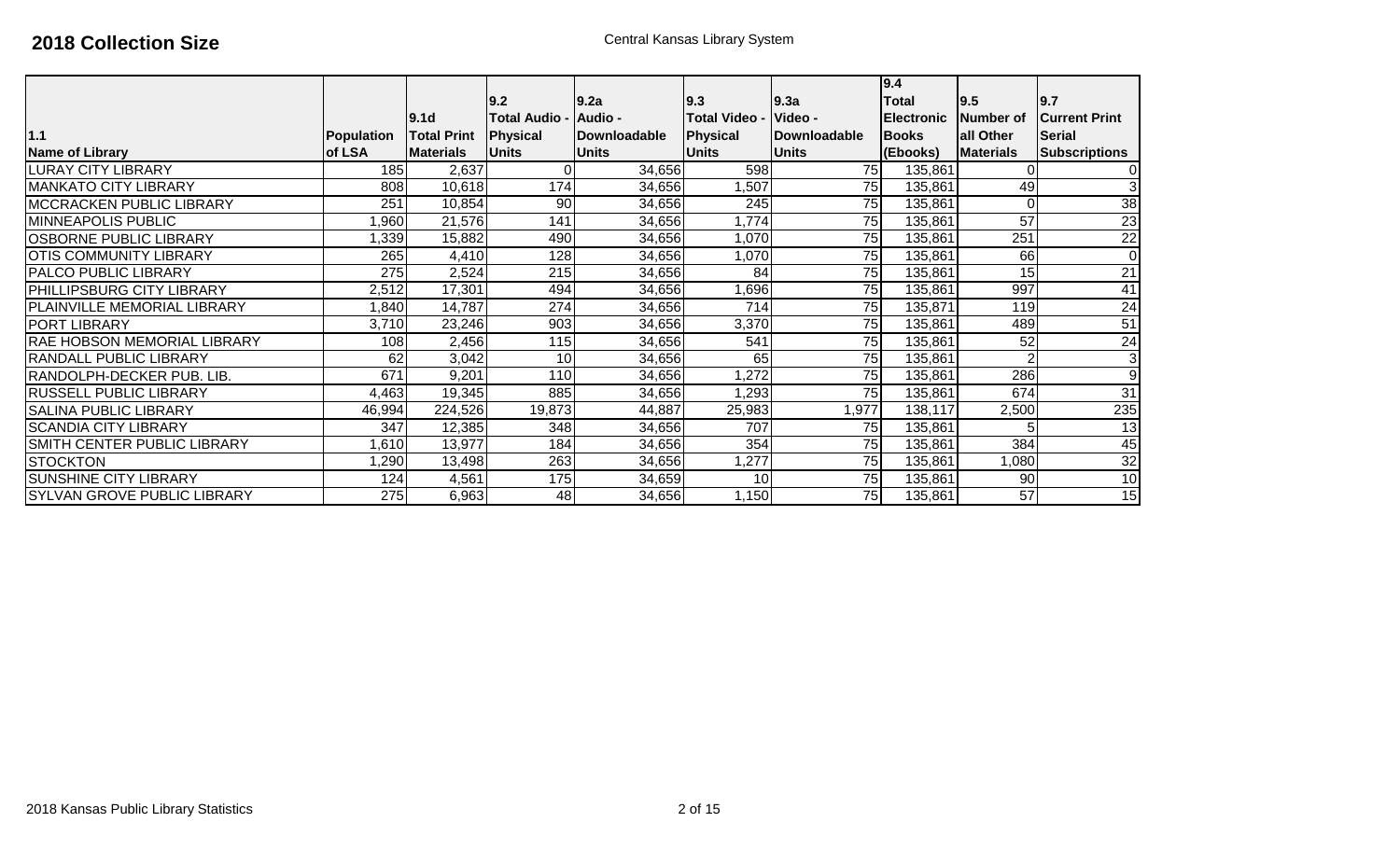| 1.1                                | Population | 9.1 <sub>d</sub><br><b>Total Print</b> | 9.2<br><b>Total Audio</b><br>Physical | 9.2a<br><b>Audio -</b><br>Downloadable | 9.3<br><b>Total Video -</b><br>Physical | 9.3a<br>Video -<br>Downloadable | 9.4<br><b>Total</b><br>Electronic<br><b>Books</b> | 9.5 <br><b>Number of</b><br>all Other | 9.7<br><b>Current Print</b><br><b>Serial</b> |
|------------------------------------|------------|----------------------------------------|---------------------------------------|----------------------------------------|-----------------------------------------|---------------------------------|---------------------------------------------------|---------------------------------------|----------------------------------------------|
| <b>Name of Library</b>             | of LSA     | <b>Materials</b>                       | <b>Units</b>                          | <b>Units</b>                           | <b>Units</b>                            | <b>Units</b>                    | (Ebooks)                                          | <b>Materials</b>                      | <b>Subscriptions</b>                         |
| <b>LURAY CITY LIBRARY</b>          | 185        | 2,637                                  | 0                                     | 34,656                                 | 598                                     | 75                              | 135,861                                           |                                       | 0                                            |
| <b>MANKATO CITY LIBRARY</b>        | 808        | 10,618                                 | 174                                   | 34,656                                 | ,507                                    | 75                              | 135,861                                           | 49                                    | 3                                            |
| <b>IMCCRACKEN PUBLIC LIBRARY</b>   | 251        | 10,854                                 | 90                                    | 34,656                                 | 245                                     | 75                              | 135,861                                           | $\Omega$                              | $\overline{38}$                              |
| <b>MINNEAPOLIS PUBLIC</b>          | ,960       | 21,576                                 | 141                                   | 34,656                                 | 1,774                                   | 75                              | 135,861                                           | 57                                    | 23                                           |
| <b>OSBORNE PUBLIC LIBRARY</b>      | ,339       | 15,882                                 | 490                                   | 34,656                                 | 1,070                                   | 75                              | 135,861                                           | 251                                   | 22                                           |
| <b>OTIS COMMUNITY LIBRARY</b>      | 265        | 4,410                                  | 128                                   | 34,656                                 | 1,070                                   | 75                              | 135,861                                           | 66                                    | $\mathbf{0}$                                 |
| <b>PALCO PUBLIC LIBRARY</b>        | 275        | 2,524                                  | 215                                   | 34,656                                 | 84                                      | 75                              | 135,861                                           | 15                                    | 21                                           |
| <b>PHILLIPSBURG CITY LIBRARY</b>   | 2,512      | 17,301                                 | 494                                   | 34,656                                 | ,696                                    | 75                              | 135,861                                           | 997                                   | 41                                           |
| <b>PLAINVILLE MEMORIAL LIBRARY</b> | 1,840      | 14,787                                 | 274                                   | 34,656                                 | 714                                     | 75                              | 135,871                                           | 119                                   | 24                                           |
| <b>PORT LIBRARY</b>                | 3,710      | 23,246                                 | 903                                   | 34,656                                 | 3,370                                   | 75                              | 135,861                                           | 489                                   | 51                                           |
| <b>RAE HOBSON MEMORIAL LIBRARY</b> | 108        | 2,456                                  | 115                                   | 34,656                                 | 541                                     | 75                              | 135,861                                           | 52                                    | 24                                           |
| <b>RANDALL PUBLIC LIBRARY</b>      | 62         | 3,042                                  | 10                                    | 34,656                                 | 65                                      | 75                              | 135,861                                           |                                       | $\mathbf{3}$                                 |
| RANDOLPH-DECKER PUB. LIB.          | 671        | 9,201                                  | 110                                   | 34,656                                 | 1,272                                   | 75                              | 135,861                                           | 286                                   | 9                                            |
| <b>RUSSELL PUBLIC LIBRARY</b>      | 4,463      | 19,345                                 | 885                                   | 34,656                                 | 1,293                                   | 75                              | 135,861                                           | 674                                   | $\overline{31}$                              |
| <b>SALINA PUBLIC LIBRARY</b>       | 46,994     | 224,526                                | 19,873                                | 44,887                                 | 25,983                                  | 1,977                           | 138,117                                           | 2,500                                 | 235                                          |
| <b>SCANDIA CITY LIBRARY</b>        | 347        | 12,385                                 | 348                                   | 34,656                                 | 707                                     | 75                              | 135,861                                           |                                       | 13                                           |
| SMITH CENTER PUBLIC LIBRARY        | 1,610      | 13,977                                 | 184                                   | 34,656                                 | 354                                     | 75                              | 135,861                                           | 384                                   | 45                                           |
| <b>STOCKTON</b>                    | 1,290      | 13,498                                 | 263                                   | 34,656                                 | ,277                                    | 75                              | 135,861                                           | 1,080                                 | 32                                           |
| <b>SUNSHINE CITY LIBRARY</b>       | 124        | 4,561                                  | 175                                   | 34,659                                 | 10                                      | 75                              | 135,861                                           | 90                                    | 10                                           |
| <b>SYLVAN GROVE PUBLIC LIBRARY</b> | 275        | 6,963                                  | 48                                    | 34,656                                 | 1,150                                   | 75                              | 135,861                                           | 57                                    | 15                                           |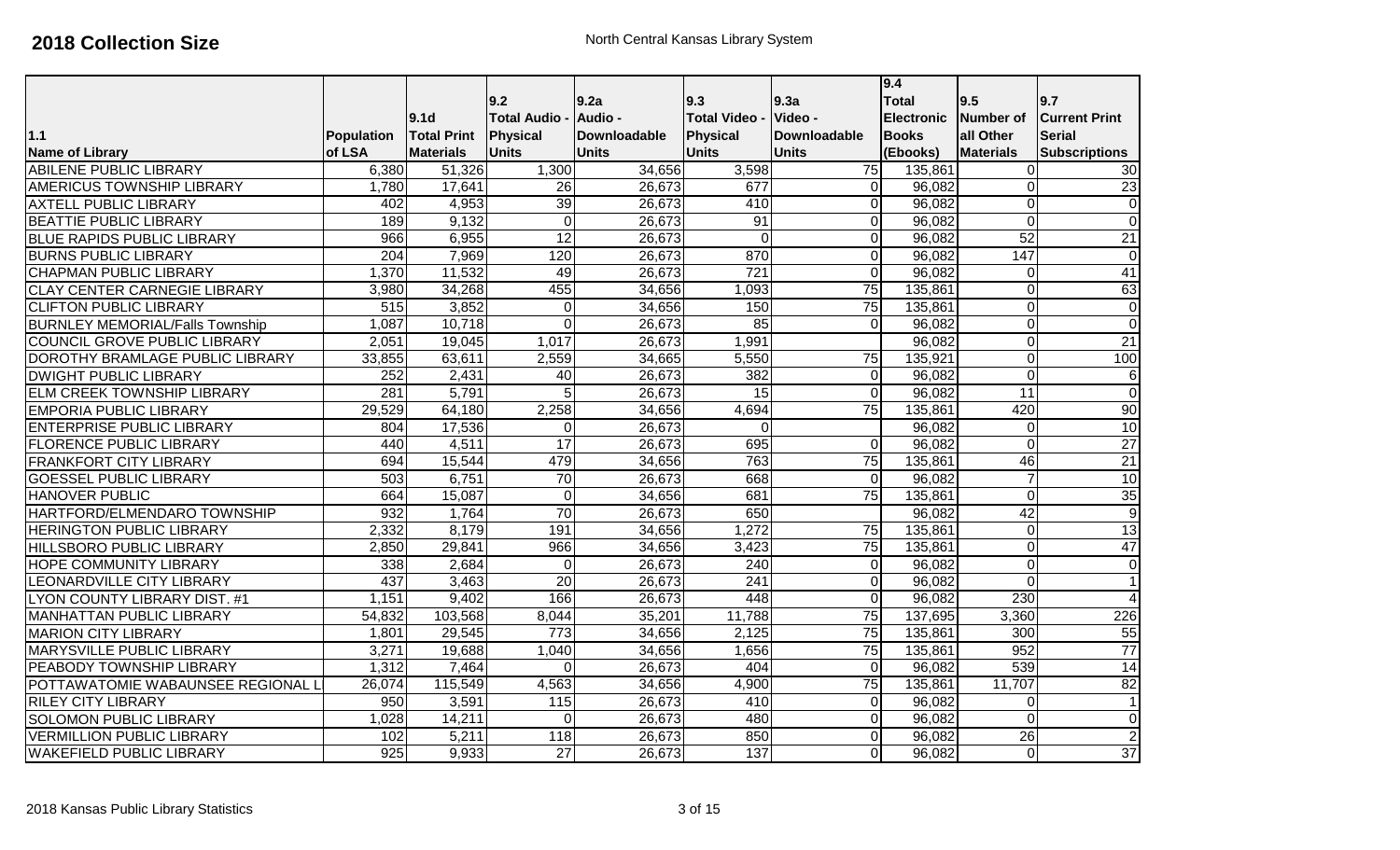|                                        |                  |                    |                    |              |                      |                 | 9.4               |                  |                      |
|----------------------------------------|------------------|--------------------|--------------------|--------------|----------------------|-----------------|-------------------|------------------|----------------------|
|                                        |                  |                    | 9.2                | l9.2a        | 9.3                  | 9.3a            | <b>Total</b>      | 9.5              | 9.7                  |
|                                        |                  | 9.1 <sub>d</sub>   | <b>Total Audio</b> | Audio -      | <b>Total Video -</b> | Video -         | <b>Electronic</b> | <b>Number of</b> | <b>Current Print</b> |
| $1.1$                                  | Population       | <b>Total Print</b> | Physical           | Downloadable | Physical             | Downloadable    | <b>Books</b>      | all Other        | <b>Serial</b>        |
| <b>Name of Library</b>                 | of LSA           | <b>Materials</b>   | <b>Units</b>       | <b>Units</b> | <b>Units</b>         | <b>Units</b>    | (Ebooks)          | <b>Materials</b> | <b>Subscriptions</b> |
| ABILENE PUBLIC LIBRARY                 | 6,380            | 51,326             | 1,300              | 34,656       | 3,598                | 75              | 135,861           | $\Omega$         | 30                   |
| <b>AMERICUS TOWNSHIP LIBRARY</b>       | 1,780            | 17,641             | 26                 | 26,673       | 677                  | $\overline{0}$  | 96,082            | $\Omega$         | 23                   |
| <b>AXTELL PUBLIC LIBRARY</b>           | 402              | 4,953              | 39                 | 26,673       | 410                  | $\overline{0}$  | 96,082            | $\overline{0}$   | $\overline{0}$       |
| <b>BEATTIE PUBLIC LIBRARY</b>          | 189              | 9,132              | $\overline{0}$     | 26,673       | $\overline{91}$      | ٥l              | 96,082            | $\overline{0}$   | $\overline{0}$       |
| <b>BLUE RAPIDS PUBLIC LIBRARY</b>      | 966              | 6,955              | 12                 | 26,673       | $\mathbf 0$          | $\mathbf 0$     | 96,082            | 52               | $\overline{21}$      |
| <b>BURNS PUBLIC LIBRARY</b>            | 204              | 7,969              | 120                | 26,673       | 870                  | $\overline{0}$  | 96,082            | 147              | $\mathbf 0$          |
| <b>CHAPMAN PUBLIC LIBRARY</b>          | 1,370            | 11,532             | 49                 | 26,673       | $\overline{721}$     | $\Omega$        | 96,082            | 0                | 41                   |
| <b>CLAY CENTER CARNEGIE LIBRARY</b>    | 3,980            | 34,268             | 455                | 34,656       | 1,093                | $\overline{75}$ | 135,861           | $\overline{0}$   | 63                   |
| <b>CLIFTON PUBLIC LIBRARY</b>          | $\overline{515}$ | 3,852              | $\Omega$           | 34,656       | 150                  | 75              | 135,861           | $\overline{0}$   | $\mathbf 0$          |
| <b>BURNLEY MEMORIAL/Falls Township</b> | 1,087            | 10,718             | $\overline{0}$     | 26,673       | 85                   | $\overline{0}$  | 96,082            | $\mathbf 0$      | $\overline{0}$       |
| COUNCIL GROVE PUBLIC LIBRARY           | 2,051            | 19,045             | 1,017              | 26,673       | 1,991                |                 | 96,082            | $\mathbf 0$      | $\overline{21}$      |
| DOROTHY BRAMLAGE PUBLIC LIBRARY        | 33,855           | 63,611             | 2,559              | 34,665       | 5,550                | 75              | 135,921           | $\overline{0}$   | 100                  |
| <b>DWIGHT PUBLIC LIBRARY</b>           | 252              | 2,431              | 40                 | 26,673       | 382                  | $\overline{0}$  | 96,082            | $\overline{0}$   | $\,6$                |
| ELM CREEK TOWNSHIP LIBRARY             | 281              | 5,791              | $\overline{5}$     | 26,673       | 15                   | $\Omega$        | 96,082            | $\overline{11}$  | $\overline{0}$       |
| <b>EMPORIA PUBLIC LIBRARY</b>          | 29,529           | 64,180             | 2,258              | 34,656       | 4,694                | $\overline{75}$ | 135,861           | 420              | 90                   |
| <b>ENTERPRISE PUBLIC LIBRARY</b>       | 804              | 17,536             | $\Omega$           | 26,673       | $\mathbf 0$          |                 | 96,082            | $\overline{0}$   | 10                   |
| <b>FLORENCE PUBLIC LIBRARY</b>         | 440              | 4,511              | 17                 | 26,673       | 695                  | $\overline{O}$  | 96,082            | $\overline{0}$   | $\overline{27}$      |
| <b>FRANKFORT CITY LIBRARY</b>          | 694              | 15,544             | 479                | 34,656       | 763                  | $\overline{75}$ | 135,861           | 46               | $\overline{21}$      |
| <b>GOESSEL PUBLIC LIBRARY</b>          | 503              | 6,751              | 70                 | 26,673       | 668                  | $\overline{0}$  | 96,082            | $\overline{7}$   | 10                   |
| <b>HANOVER PUBLIC</b>                  | 664              | 15,087             | $\Omega$           | 34,656       | 681                  | 75              | 135,861           | $\overline{0}$   | 35                   |
| HARTFORD/ELMENDARO TOWNSHIP            | 932              | 1,764              | 70                 | 26,673       | 650                  |                 | 96,082            | 42               | $\overline{9}$       |
| <b>HERINGTON PUBLIC LIBRARY</b>        | 2,332            | 8,179              | 191                | 34,656       | 1,272                | 75              | 135,861           | $\overline{0}$   | $\overline{13}$      |
| <b>HILLSBORO PUBLIC LIBRARY</b>        | 2,850            | 29,841             | 966                | 34,656       | 3,423                | 75              | 135,861           | 0                | 47                   |
| HOPE COMMUNITY LIBRARY                 | 338              | 2,684              | $\Omega$           | 26,673       | 240                  | $\overline{0}$  | 96,082            | 0                | $\mathbf 0$          |
| LEONARDVILLE CITY LIBRARY              | 437              | 3,463              | 20                 | 26,673       | 241                  | $\overline{O}$  | 96,082            | $\overline{0}$   | $\mathbf{1}$         |
| <b>LYON COUNTY LIBRARY DIST. #1</b>    | 1,151            | 9,402              | 166                | 26,673       | 448                  | $\overline{O}$  | 96,082            | 230              | $\overline{4}$       |
| <b>MANHATTAN PUBLIC LIBRARY</b>        | 54,832           | 103,568            | 8,044              | 35,201       | 11,788               | 75              | 137,695           | 3,360            | 226                  |
| <b>MARION CITY LIBRARY</b>             | 1,801            | 29,545             | 773                | 34,656       | 2,125                | 75              | 135,861           | 300              | $\overline{55}$      |
| MARYSVILLE PUBLIC LIBRARY              | 3,271            | 19,688             | 1,040              | 34,656       | 1,656                | 75              | 135,861           | 952              | $\overline{77}$      |
| PEABODY TOWNSHIP LIBRARY               | 1,312            | 7,464              | $\Omega$           | 26,673       | 404                  | $\overline{0}$  | 96,082            | 539              | $\overline{14}$      |
| POTTAWATOMIE WABAUNSEE REGIONAL L      | 26,074           | 115,549            | 4,563              | 34,656       | 4,900                | 75              | 135,861           | 11,707           | 82                   |
| <b>RILEY CITY LIBRARY</b>              | 950              | 3,591              | $\overline{115}$   | 26,673       | 410                  | $\overline{0}$  | 96,082            | 0                | $\mathbf{1}$         |
| <b>SOLOMON PUBLIC LIBRARY</b>          | 1,028            | 14,211             | $\overline{0}$     | 26,673       | 480                  | $\overline{0}$  | 96,082            | $\overline{0}$   | $\mathbf 0$          |
| <b>VERMILLION PUBLIC LIBRARY</b>       | 102              | 5,211              | 118                | 26,673       | 850                  | $\mathbf 0$     | 96,082            | $\overline{26}$  | $\overline{2}$       |
| WAKEFIELD PUBLIC LIBRARY               | $\overline{925}$ | 9,933              | $\overline{27}$    | 26,673       | 137                  | $\overline{0}$  | 96,082            | $\mathbf 0$      | $\overline{37}$      |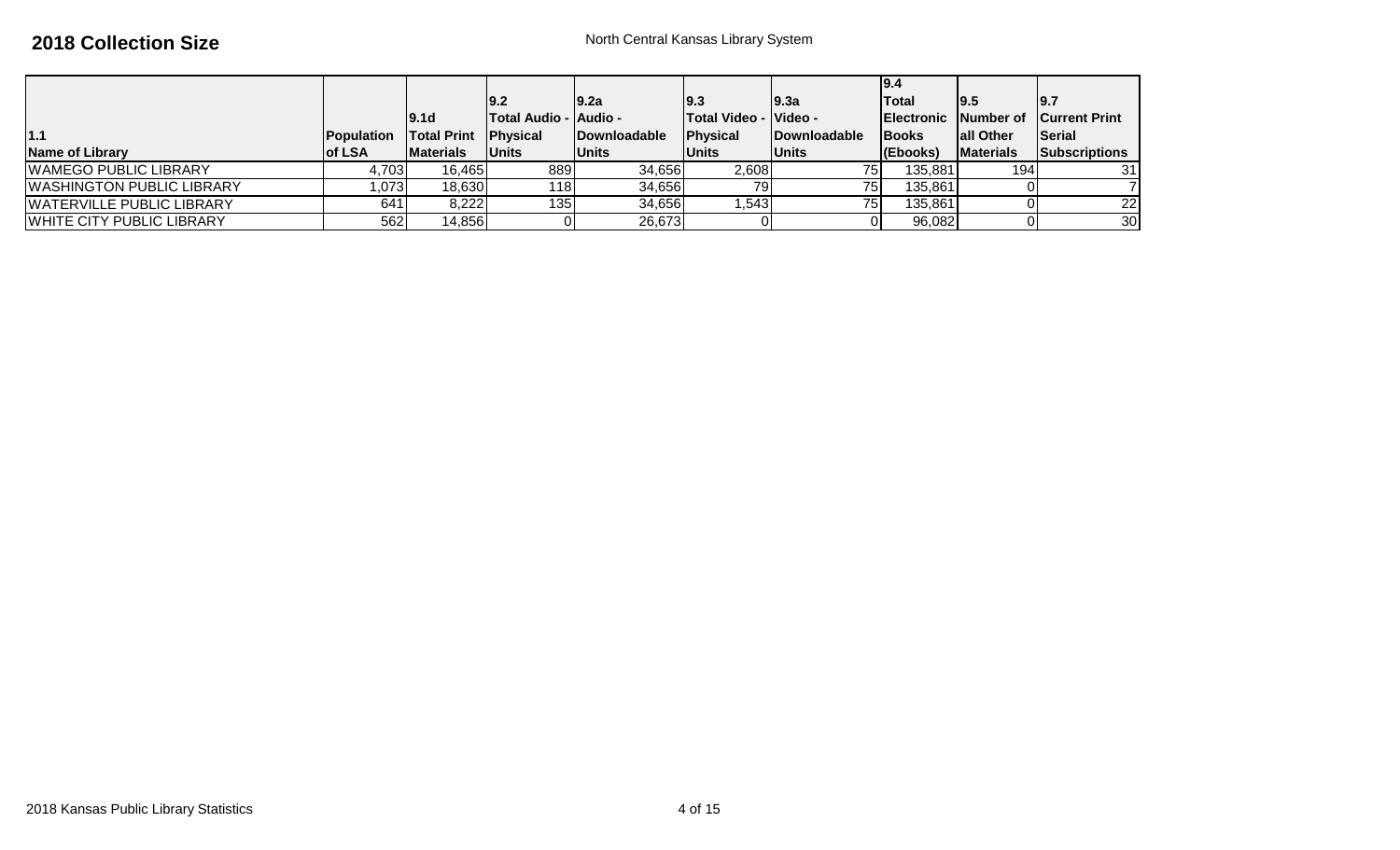|                                  |                    |                    |                                |                      |                       |                 | 9.4                |                   |                                |
|----------------------------------|--------------------|--------------------|--------------------------------|----------------------|-----------------------|-----------------|--------------------|-------------------|--------------------------------|
|                                  |                    |                    | 19.2                           | 19.2a                | 19.3                  | 19.3a           | lTotal             | 19.5              | 9.7                            |
|                                  |                    | 19.1d              | <b>ITotal Audio - IAudio -</b> |                      | Total Video - Video - |                 | <b>IElectronic</b> |                   | <b>Number of Current Print</b> |
| 1.1                              | <b>IPopulation</b> | <b>Total Print</b> | <b>Physical</b>                | <b>IDownloadable</b> | Physical              | Downloadable    | <b>IBooks</b>      | <b>lall Other</b> | <b>Serial</b>                  |
| <b>Name of Library</b>           | <b>lof LSA</b>     | <b>Materials</b>   | <b>IUnits</b>                  | <b>Units</b>         | <b>Units</b>          | <b>Units</b>    | (Ebooks)           | <b>Materials</b>  | <b>Subscriptions</b>           |
| WAMEGO PUBLIC LIBRARY            | 4,703              | 16.465             | 8891                           | 34,656               | 2,608                 | 75              | 135,881            | 194l              | 31                             |
| <b>WASHINGTON PUBLIC LIBRARY</b> | ,073               | 18,630             | <b>118</b>                     | 34,656               | 79                    | 75              | 135,861            |                   |                                |
| WATERVILLE PUBLIC LIBRARY        | 641                | 8,222              | 135                            | 34,656               | .543                  | 75 <sub>1</sub> | 135,861            |                   | 22                             |
| WHITE CITY PUBLIC LIBRARY        | 562                | 14,856             |                                | 26,673               |                       |                 | 96,082             |                   | 30                             |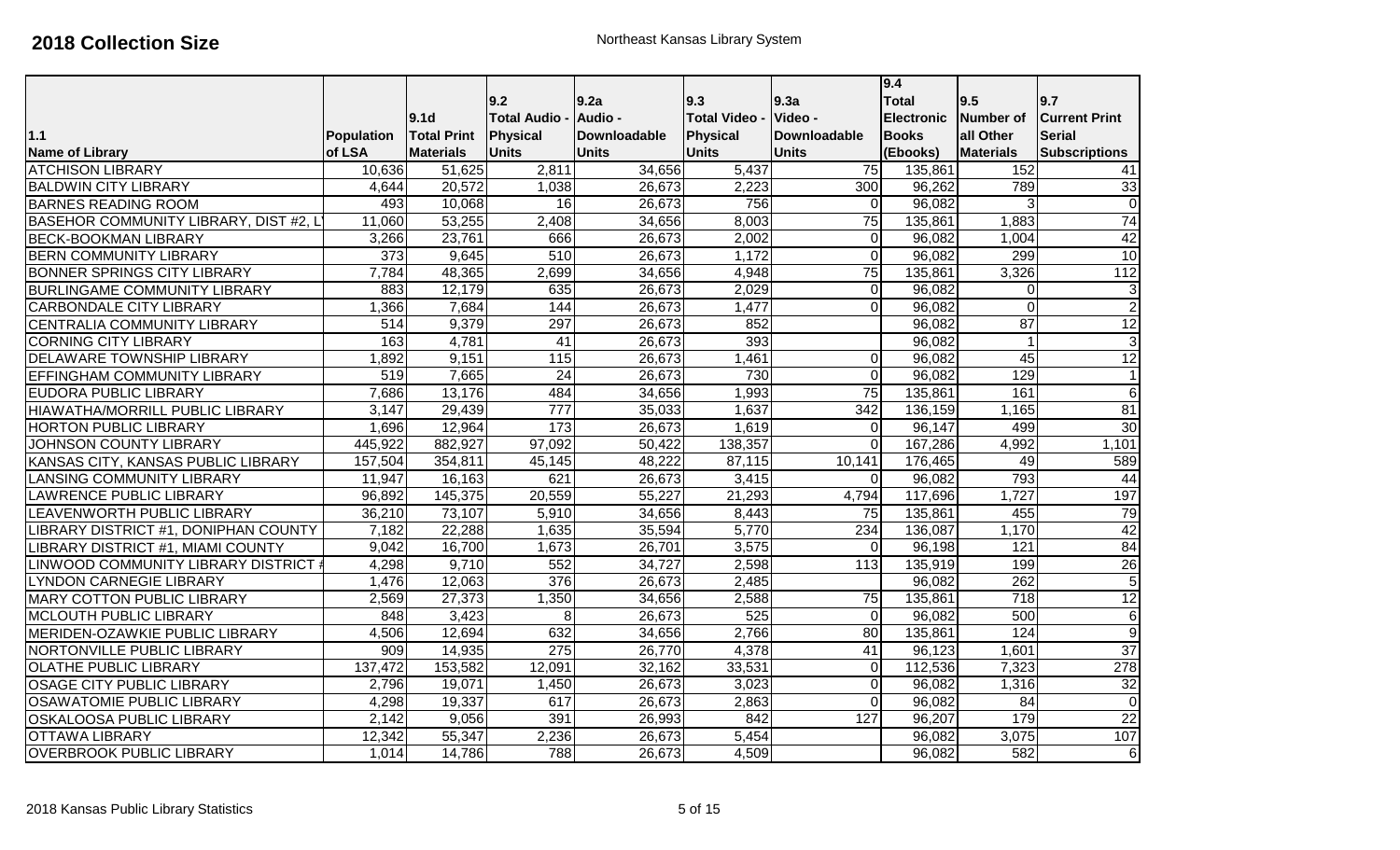|                                        |                  |                    |                    |              |                    |                  | 9.4               |                  |                         |
|----------------------------------------|------------------|--------------------|--------------------|--------------|--------------------|------------------|-------------------|------------------|-------------------------|
|                                        |                  |                    | 9.2                | 9.2a         | 9.3                | 9.3a             | <b>Total</b>      | 9.5              | 9.7                     |
|                                        |                  | 9.1 <sub>d</sub>   | <b>Total Audio</b> | Audio -      | <b>Total Video</b> | Video -          | <b>Electronic</b> | Number of        | <b>Current Print</b>    |
| $1.1$                                  | Population       | <b>Total Print</b> | Physical           | Downloadable | Physical           | Downloadable     | <b>Books</b>      | all Other        | <b>Serial</b>           |
| <b>Name of Library</b>                 | of LSA           | <b>Materials</b>   | Units              | <b>Units</b> | <b>Units</b>       | <b>Units</b>     | (Ebooks)          | <b>Materials</b> | <b>Subscriptions</b>    |
| <b>ATCHISON LIBRARY</b>                | 10,636           | 51,625             | 2,811              | 34,656       | 5,437              | $\overline{75}$  | 135,861           | 152              | 41                      |
| <b>BALDWIN CITY LIBRARY</b>            | 4,644            | 20,572             | 1,038              | 26,673       | 2,223              | 300              | 96,262            | 789              | 33                      |
| <b>BARNES READING ROOM</b>             | 493              | 10,068             | 16                 | 26,673       | 756                | $\Omega$         | 96,082            | 3                | o                       |
| BASEHOR COMMUNITY LIBRARY, DIST #2, L  | 11,060           | 53,255             | 2,408              | 34,656       | 8,003              | 75               | 135,861           | 1,883            | $\overline{74}$         |
| <b>BECK-BOOKMAN LIBRARY</b>            | 3,266            | 23,761             | 666                | 26,673       | 2,002              | $\Omega$         | 96,082            | 1,004            | 42                      |
| <b>BERN COMMUNITY LIBRARY</b>          | $\overline{373}$ | 9,645              | 510                | 26,673       | 1,172              | $\Omega$         | 96,082            | 299              | $\overline{10}$         |
| <b>BONNER SPRINGS CITY LIBRARY</b>     | 7,784            | 48,365             | 2,699              | 34,656       | 4,948              | 75               | 135,861           | 3,326            | 112                     |
| <b>BURLINGAME COMMUNITY LIBRARY</b>    | 883              | 12,179             | 635                | 26,673       | 2,029              | $\Omega$         | 96,082            | $\mathbf 0$      | $\sqrt{3}$              |
| <b>CARBONDALE CITY LIBRARY</b>         | 1,366            | 7,684              | 144                | 26,673       | 1,477              | $\Omega$         | 96,082            | $\mathbf 0$      | $\overline{2}$          |
| CENTRALIA COMMUNITY LIBRARY            | $\overline{514}$ | 9,379              | 297                | 26,673       | 852                |                  | 96,082            | 87               | 12                      |
| <b>CORNING CITY LIBRARY</b>            | 163              | 4,781              | $\overline{41}$    | 26,673       | 393                |                  | 96,082            | $\overline{1}$   | $\overline{3}$          |
| <b>DELAWARE TOWNSHIP LIBRARY</b>       | 1,892            | 9,151              | 115                | 26,673       | 1,461              | $\Omega$         | 96,082            | 45               | 12                      |
| EFFINGHAM COMMUNITY LIBRARY            | 519              | 7,665              | $\overline{24}$    | 26,673       | 730                | $\Omega$         | 96,082            | 129              | $\mathbf{1}$            |
| <b>EUDORA PUBLIC LIBRARY</b>           | 7,686            | 13,176             | 484                | 34,656       | 1,993              | $\overline{75}$  | 135,861           | 161              | 6                       |
| <b>HIAWATHA/MORRILL PUBLIC LIBRARY</b> | 3,147            | 29,439             | $\overline{777}$   | 35,033       | 1,637              | $\overline{342}$ | 136,159           | 1,165            | 81                      |
| <b>HORTON PUBLIC LIBRARY</b>           | 1,696            | 12,964             | 173                | 26,673       | 1,619              | $\Omega$         | 96,147            | 499              | 30                      |
| JOHNSON COUNTY LIBRARY                 | 445,922          | 882,927            | 97,092             | 50,422       | 138,357            | $\Omega$         | 167,286           | 4,992            | 1,101                   |
| KANSAS CITY, KANSAS PUBLIC LIBRARY     | 157,504          | 354,811            | 45,145             | 48,222       | 87,115             | 10,141           | 176,465           | 49               | 589                     |
| <b>LANSING COMMUNITY LIBRARY</b>       | 11,947           | 16,163             | 621                | 26,673       | 3,415              | $\Omega$         | 96,082            | 793              | $\overline{44}$         |
| <b>LAWRENCE PUBLIC LIBRARY</b>         | 96,892           | 145,375            | 20,559             | 55,227       | 21,293             | 4,794            | 117,696           | 1,727            | 197                     |
| LEAVENWORTH PUBLIC LIBRARY             | 36,210           | 73,107             | 5,910              | 34,656       | 8,443              | 75               | 135,861           | 455              | 79                      |
| LIBRARY DISTRICT #1, DONIPHAN COUNTY   | 7,182            | 22,288             | 1,635              | 35,594       | 5,770              | 234              | 136,087           | 1,170            | 42                      |
| LIBRARY DISTRICT #1, MIAMI COUNTY      | 9,042            | 16,700             | 1,673              | 26,701       | 3,575              | $\Omega$         | 96,198            | 121              | 84                      |
| LINWOOD COMMUNITY LIBRARY DISTRICT #   | 4,298            | 9,710              | 552                | 34,727       | 2,598              | $\overline{113}$ | 135,919           | 199              | 26                      |
| <b>LYNDON CARNEGIE LIBRARY</b>         | 1,476            | 12,063             | 376                | 26,673       | 2,485              |                  | 96,082            | 262              | $\overline{5}$          |
| <b>MARY COTTON PUBLIC LIBRARY</b>      | 2,569            | 27,373             | 1,350              | 34,656       | 2,588              | 75               | 135,861           | 718              | 12                      |
| MCLOUTH PUBLIC LIBRARY                 | 848              | 3,423              | 8 <sup>1</sup>     | 26,673       | 525                | $\Omega$         | 96,082            | 500              | $6 \overline{}$         |
| MERIDEN-OZAWKIE PUBLIC LIBRARY         | 4,506            | 12,694             | 632                | 34,656       | 2,766              | 80               | 135,861           | 124              | $\overline{9}$          |
| NORTONVILLE PUBLIC LIBRARY             | 909              | 14,935             | $\overline{275}$   | 26,770       | 4,378              | 41               | 96,123            | 1,601            | 37                      |
| <b>OLATHE PUBLIC LIBRARY</b>           | 137,472          | 153,582            | 12,091             | 32,162       | 33,531             | $\Omega$         | 112,536           | 7,323            | 278                     |
| OSAGE CITY PUBLIC LIBRARY              | 2,796            | 19,071             | 1,450              | 26,673       | 3,023              | $\Omega$         | 96,082            | 1,316            | 32                      |
| OSAWATOMIE PUBLIC LIBRARY              | 4,298            | 19,337             | 617                | 26,673       | 2,863              | $\overline{0}$   | 96,082            | 84               | $\overline{\mathsf{o}}$ |
| <b>OSKALOOSA PUBLIC LIBRARY</b>        | 2,142            | 9,056              | 391                | 26,993       | 842                | 127              | 96,207            | 179              | $\overline{22}$         |
| <b>OTTAWA LIBRARY</b>                  | 12,342           | 55,347             | 2,236              | 26,673       | 5,454              |                  | 96,082            | 3,075            | 107                     |
| <b>OVERBROOK PUBLIC LIBRARY</b>        | 1,014            | 14,786             | 788                | 26,673       | 4,509              |                  | 96,082            | 582              | $\sigma$                |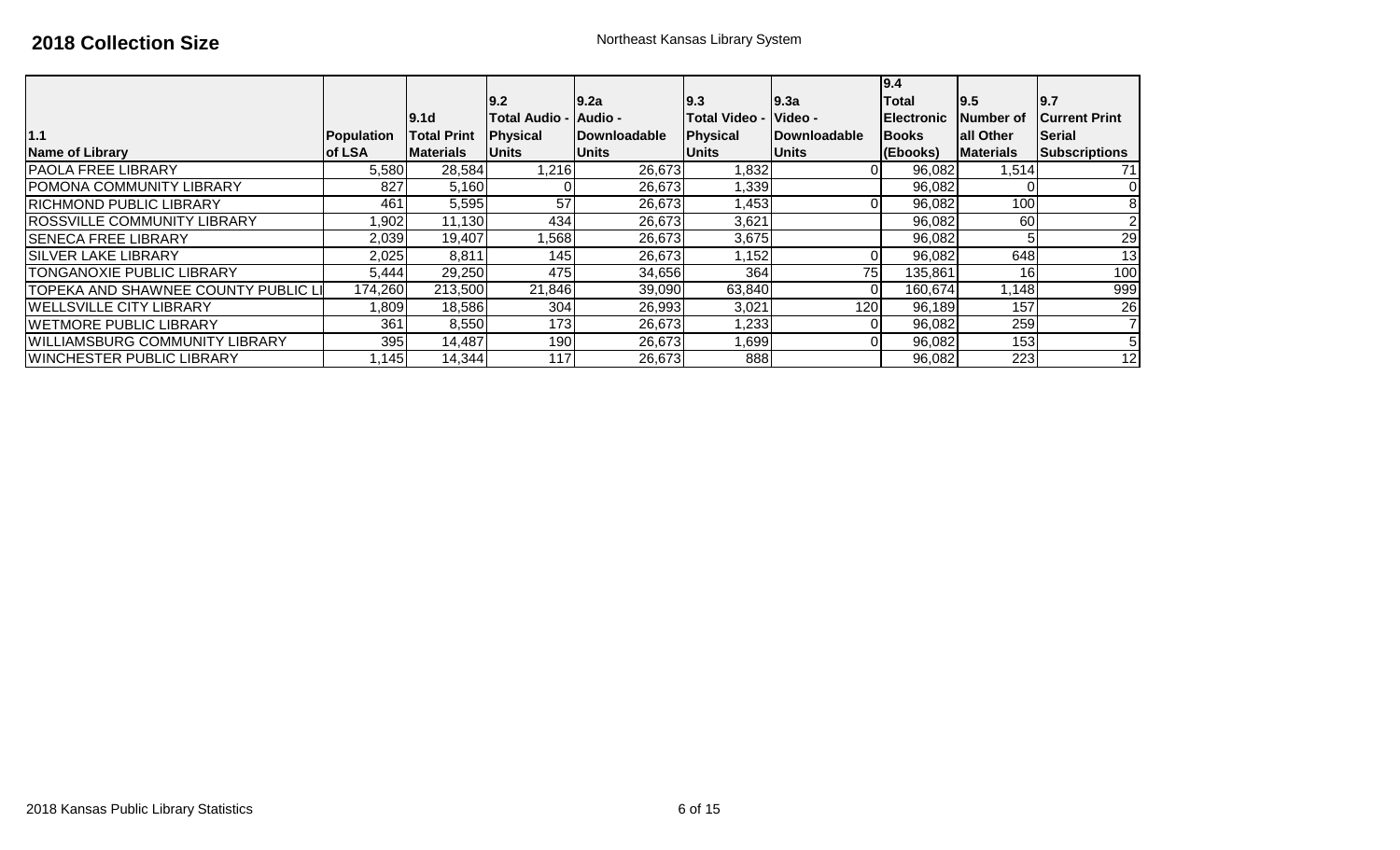|                                       |                   |                    | 9.2                    | 9.2a                 | 9.3                  | 9.3a                 | 9.4<br>Total       | 9.5               | 9.7                   |
|---------------------------------------|-------------------|--------------------|------------------------|----------------------|----------------------|----------------------|--------------------|-------------------|-----------------------|
|                                       |                   | 19.1d              | Total Audio -  Audio - |                      | <b>Total Video -</b> | <b>Video -</b>       | <b>IElectronic</b> | Number of         | <b>ICurrent Print</b> |
| 1.1                                   | <b>Population</b> | <b>Total Print</b> | <b>IPhysical</b>       | <b>IDownloadable</b> | Physical             | <b>IDownloadable</b> | <b>Books</b>       | <b>lall Other</b> | Serial                |
| Name of Library                       | lof LSA           | <b>IMaterials</b>  | <b>Units</b>           | <b>Units</b>         | <b>Units</b>         | <b>Units</b>         | (Ebooks)           | <b>Materials</b>  | <b>Subscriptions</b>  |
| <b>PAOLA FREE LIBRARY</b>             | 5,580             | 28,584             | 1,216                  | 26,673               | 1,832                |                      | 96,082             | 1,514             | 71                    |
| <b>POMONA COMMUNITY LIBRARY</b>       | 827               | 5,160              |                        | 26,673               | 1,339                |                      | 96,082             |                   | $\Omega$              |
| <b>RICHMOND PUBLIC LIBRARY</b>        | 461               | 5,595              | 57                     | 26,673               | 1,453                |                      | 96,082             | 100               |                       |
| <b>ROSSVILLE COMMUNITY LIBRARY</b>    | ,902              | 11,130             | 434                    | 26,673               | 3,621                |                      | 96,082             | 60                |                       |
| <b>SENECA FREE LIBRARY</b>            | 2,039             | 19,407             | .568                   | 26,673               | 3,675                |                      | 96,082             |                   | 29                    |
| <b>SILVER LAKE LIBRARY</b>            | 2,025             | 8,811              | 145                    | 26,673               | 1,152                |                      | 96,082             | 648               | 13                    |
| <b>TONGANOXIE PUBLIC LIBRARY</b>      | 5,444             | 29,250             | 475                    | 34,656               | 364                  | 75                   | 135,861            | 16                | 100                   |
| TOPEKA AND SHAWNEE COUNTY PUBLIC LI   | 174,260           | 213,500            | 21,846                 | 39,090               | 63,840               | 0                    | 160,674            | 1,148             | 999                   |
| <b>WELLSVILLE CITY LIBRARY</b>        | 0.809             | 18,586             | 304                    | 26,993               | 3,021                | 120                  | 96,189             | 157               | 26                    |
| <b>IWETMORE PUBLIC LIBRARY</b>        | 361               | 8,550              | 173                    | 26,673               | 1,233                |                      | 96,082             | 259               |                       |
| <b>WILLIAMSBURG COMMUNITY LIBRARY</b> | 395               | 14,487             | 190                    | 26,673               | 1,699                |                      | 96,082             | 153 <sub>l</sub>  |                       |
| <b>WINCHESTER PUBLIC LIBRARY</b>      | 1,145             | 14,344             | 117                    | 26,673               | 888                  |                      | 96,082             | 223               | 12                    |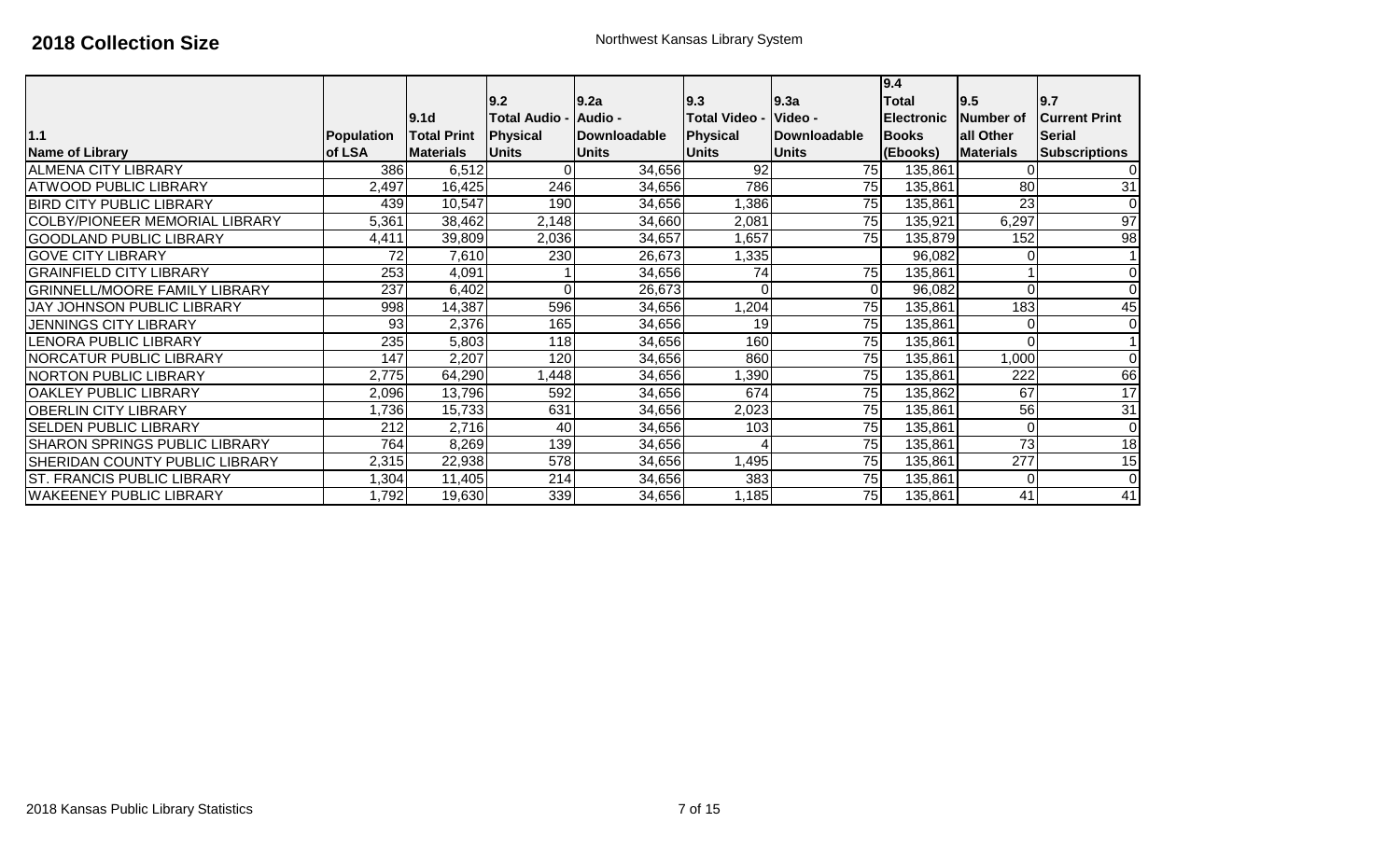|                                       |            | 9.1 <sub>d</sub>   | 9.2<br><b>Total Audio -</b> | 9.2a<br>Audio - | 9.3<br><b>Total Video -</b> | 9.3a<br>Video -      | 9.4<br>Total<br><b>IElectronic</b> | 9.5 <br><b>Number of</b> | 9.7<br><b>Current Print</b> |
|---------------------------------------|------------|--------------------|-----------------------------|-----------------|-----------------------------|----------------------|------------------------------------|--------------------------|-----------------------------|
| 1.1                                   | Population | <b>Total Print</b> | Physical                    | Downloadable    | Physical                    | <b>IDownloadable</b> | <b>Books</b>                       | all Other                | <b>Serial</b>               |
| <b>Name of Library</b>                | of LSA     | <b>Materials</b>   | <b>Units</b>                | <b>IUnits</b>   | <b>Units</b>                | <b>Units</b>         | (Ebooks)                           | <b>Materials</b>         | <b>Subscriptions</b>        |
| <b>ALMENA CITY LIBRARY</b>            | 386        | 6,512              | 01                          | 34,656          | 92                          | 75                   | 135,861                            |                          | 0                           |
| <b>ATWOOD PUBLIC LIBRARY</b>          | 2,497      | 16,425             | 246                         | 34,656          | 786                         | 75                   | 135,861                            | $\overline{80}$          | $\overline{31}$             |
| <b>BIRD CITY PUBLIC LIBRARY</b>       | 439        | 10,547             | 190 <sup>1</sup>            | 34,656          | 1,386                       | 75                   | 135,861                            | $\overline{23}$          | $\Omega$                    |
| <b>COLBY/PIONEER MEMORIAL LIBRARY</b> | 5,361      | 38,462             | 2,148                       | 34,660          | 2,081                       | 75                   | 135,921                            | 6,297                    | $\overline{97}$             |
| <b>GOODLAND PUBLIC LIBRARY</b>        | 4,411      | 39,809             | 2,036                       | 34,657          | 1,657                       | 75                   | 135,879                            | 152                      | $\overline{98}$             |
| <b>GOVE CITY LIBRARY</b>              | 72         | 7,610              | 230                         | 26,673          | 1,335                       |                      | 96,082                             |                          |                             |
| <b>GRAINFIELD CITY LIBRARY</b>        | 253        | 4,091              |                             | 34,656          | 74                          | 75                   | 135,861                            |                          | 0                           |
| <b>GRINNELL/MOORE FAMILY LIBRARY</b>  | 237        | 6,402              | $\Omega$                    | 26,673          | $\Omega$                    |                      | 96,082                             | $\Omega$                 | 0                           |
| JAY JOHNSON PUBLIC LIBRARY            | 998        | 14,387             | 596                         | 34,656          | 1,204                       | 75                   | 135,861                            | 183                      | 45                          |
| <b>JENNINGS CITY LIBRARY</b>          | 93         | 2,376              | 165                         | 34,656          | 19                          | 75                   | 135,861                            | 0                        | $\mathbf 0$                 |
| <b>LENORA PUBLIC LIBRARY</b>          | 235        | 5,803              | 118                         | 34,656          | 160                         | 75                   | 135,861                            | $\Omega$                 |                             |
| INORCATUR PUBLIC LIBRARY              | 147        | 2,207              | 120                         | 34,656          | 860                         | 75                   | 135,861                            | 1,000                    | $\Omega$                    |
| <b>NORTON PUBLIC LIBRARY</b>          | 2,775      | 64,290             | ,448                        | 34,656          | ,390                        | 75                   | 135,861                            | 222                      | 66                          |
| <b>OAKLEY PUBLIC LIBRARY</b>          | 2,096      | 13,796             | 592                         | 34,656          | 674                         | 75                   | 135,862                            | 67                       | 17                          |
| <b>OBERLIN CITY LIBRARY</b>           | 1,736      | 15,733             | 631                         | 34,656          | 2,023                       | 75                   | 135,861                            | 56                       | 31                          |
| <b>SELDEN PUBLIC LIBRARY</b>          | 212        | 2,716              | 40                          | 34,656          | 103                         | 75                   | 135,861                            | 0                        | 0                           |
| <b>SHARON SPRINGS PUBLIC LIBRARY</b>  | 764        | 8,269              | 139                         | 34,656          |                             | 75                   | 135,861                            | $\overline{73}$          | 18                          |
| <b>SHERIDAN COUNTY PUBLIC LIBRARY</b> | 2,315      | 22,938             | 578                         | 34,656          | 1,495                       | 75                   | 135,861                            | $\overline{277}$         | 15                          |
| <b>ST. FRANCIS PUBLIC LIBRARY</b>     | ,304       | 11,405             | 214                         | 34,656          | 383                         | 75                   | 135,861                            | 0                        | $\mathbf 0$                 |
| <b>WAKEENEY PUBLIC LIBRARY</b>        | 1,792      | 19,630             | 339                         | 34,656          | 1,185                       | 75                   | 135,861                            | 41                       | 41                          |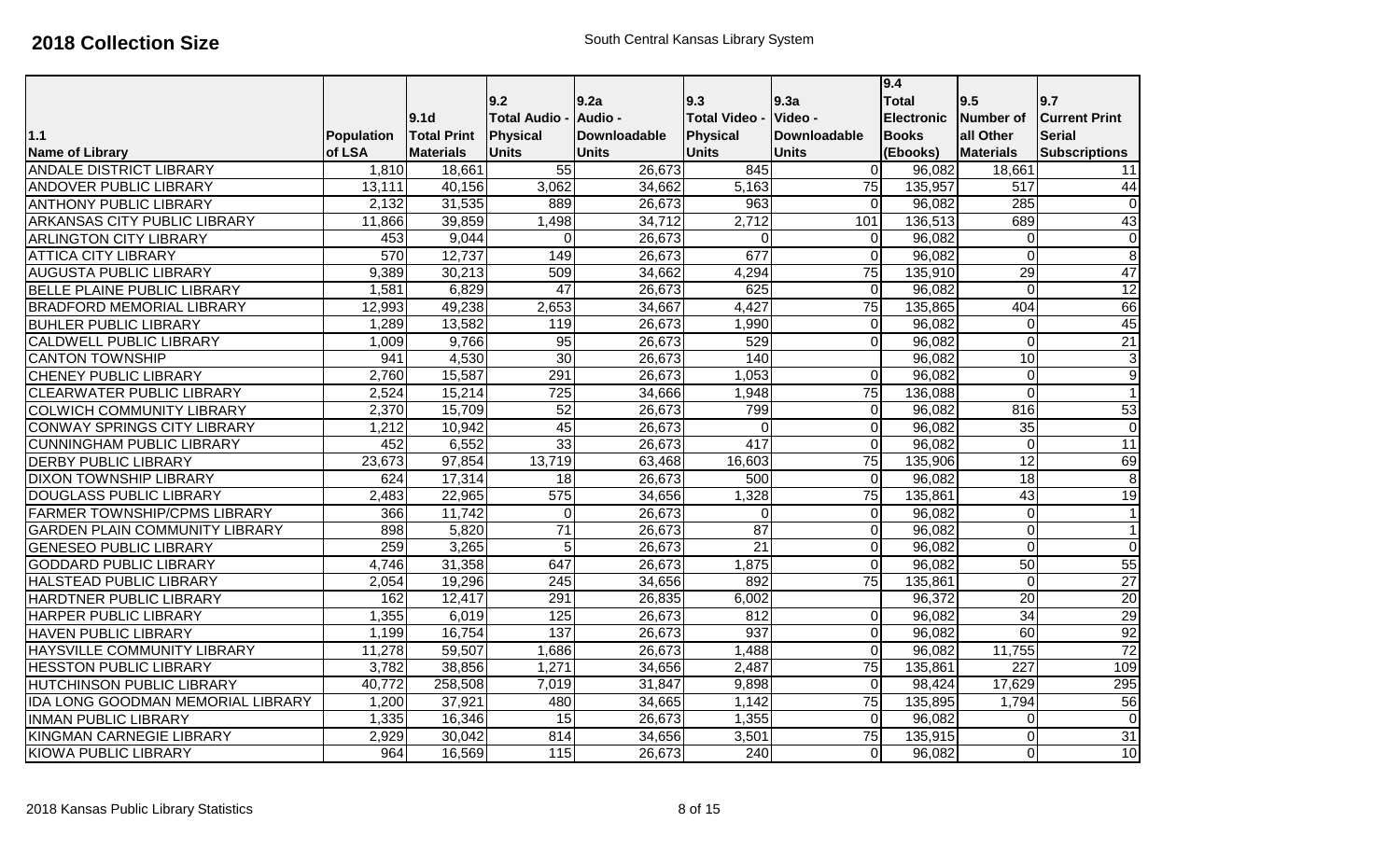|                                          |                   |                    | 9.2                | 9.2a                | 9.3                  | 9.3a                | 9.4<br><b>Total</b> | 9.5              | 9.7                  |
|------------------------------------------|-------------------|--------------------|--------------------|---------------------|----------------------|---------------------|---------------------|------------------|----------------------|
|                                          |                   | 9.1 <sub>d</sub>   | <b>Total Audio</b> | Audio -             | <b>Total Video -</b> | Video -             | <b>Electronic</b>   | Number of        | <b>Current Print</b> |
| 1.1                                      | <b>Population</b> | <b>Total Print</b> | Physical           | <b>Downloadable</b> | Physical             | <b>Downloadable</b> | <b>Books</b>        | all Other        | <b>Serial</b>        |
| <b>Name of Library</b>                   | of LSA            | <b>Materials</b>   | <b>Units</b>       | <b>Units</b>        | <b>Units</b>         | <b>Units</b>        | (Ebooks)            | <b>Materials</b> | <b>Subscriptions</b> |
| <b>ANDALE DISTRICT LIBRARY</b>           | 1,810             | 18,661             | 55                 | 26,673              | 845                  | 0                   | 96,082              | 18,661           | 11                   |
| <b>ANDOVER PUBLIC LIBRARY</b>            | 13,111            | 40,156             | 3,062              | 34,662              | 5,163                | $\overline{75}$     | 135,957             | 517              | 44                   |
| <b>ANTHONY PUBLIC LIBRARY</b>            | 2,132             | 31,535             | 889                | 26,673              | 963                  | 0                   | 96,082              | 285              | $\overline{0}$       |
| <b>ARKANSAS CITY PUBLIC LIBRARY</b>      | 11,866            | 39,859             | 1,498              | 34,712              | 2,712                | 101                 | 136,513             | 689              | 43                   |
| <b>ARLINGTON CITY LIBRARY</b>            | 453               | 9,044              | $\overline{0}$     | 26,673              | $\Omega$             | 0                   | 96,082              | $\overline{0}$   | $\mathbf 0$          |
| <b>ATTICA CITY LIBRARY</b>               | 570               | 12,737             | 149                | 26,673              | 677                  | $\overline{0}$      | 96,082              | $\overline{0}$   | $\overline{8}$       |
| <b>AUGUSTA PUBLIC LIBRARY</b>            | 9,389             | 30,213             | 509                | 34,662              | 4,294                | $\overline{75}$     | 135,910             | 29               | 47                   |
| <b>BELLE PLAINE PUBLIC LIBRARY</b>       | 1,581             | 6,829              | $\overline{47}$    | 26,673              | 625                  | 0                   | 96,082              | $\overline{0}$   | $\overline{12}$      |
| <b>BRADFORD MEMORIAL LIBRARY</b>         | 12,993            | 49,238             | 2,653              | 34,667              | 4,427                | 75                  | 135,865             | 404              | 66                   |
| <b>BUHLER PUBLIC LIBRARY</b>             | 1,289             | 13,582             | 119                | 26,673              | 1,990                | $\overline{0}$      | 96,082              | $\mathbf 0$      | 45                   |
| <b>CALDWELL PUBLIC LIBRARY</b>           | 1,009             | 9,766              | 95                 | 26,673              | 529                  | $\overline{0}$      | 96,082              | $\overline{0}$   | 21                   |
| <b>CANTON TOWNSHIP</b>                   | 941               | 4,530              | 30                 | 26,673              | 140                  |                     | 96,082              | 10               | $\overline{3}$       |
| <b>CHENEY PUBLIC LIBRARY</b>             | 2,760             | 15,587             | 291                | 26,673              | 1,053                | 0                   | 96,082              | $\mathbf 0$      | $\overline{9}$       |
| <b>CLEARWATER PUBLIC LIBRARY</b>         | 2,524             | 15,214             | 725                | 34,666              | 1,948                | 75                  | 136,088             | $\overline{0}$   | $\mathbf{1}$         |
| <b>COLWICH COMMUNITY LIBRARY</b>         | 2,370             | 15,709             | 52                 | 26,673              | 799                  | Οl                  | 96,082              | 816              | 53                   |
| <b>CONWAY SPRINGS CITY LIBRARY</b>       | 1,212             | 10,942             | 45                 | 26,673              | $\overline{0}$       | 0                   | 96,082              | $\overline{35}$  | $\mathbf 0$          |
| <b>CUNNINGHAM PUBLIC LIBRARY</b>         | 452               | 6,552              | 33                 | 26,673              | 417                  | 0                   | 96,082              | $\overline{0}$   | $\overline{11}$      |
| <b>DERBY PUBLIC LIBRARY</b>              | 23,673            | 97,854             | 13,719             | 63,468              | 16,603               | $\overline{75}$     | 135,906             | 12               | 69                   |
| <b>DIXON TOWNSHIP LIBRARY</b>            | 624               | 17,314             | 18                 | 26,673              | 500                  | $\overline{0}$      | 96,082              | 18               | $\overline{8}$       |
| <b>DOUGLASS PUBLIC LIBRARY</b>           | 2,483             | 22,965             | 575                | 34,656              | 1,328                | $\overline{75}$     | 135,861             | 43               | 19                   |
| <b>FARMER TOWNSHIP/CPMS LIBRARY</b>      | 366               | 11,742             | $\overline{0}$     | 26,673              | $\Omega$             | 0                   | 96,082              | $\mathbf 0$      | $\mathbf{1}$         |
| <b>GARDEN PLAIN COMMUNITY LIBRARY</b>    | 898               | 5,820              | $\overline{71}$    | 26,673              | 87                   | 0                   | 96,082              | $\overline{0}$   | $\mathbf{1}$         |
| <b>GENESEO PUBLIC LIBRARY</b>            | 259               | 3,265              | 5 <sup>1</sup>     | 26,673              | $\overline{21}$      | 0                   | 96,082              | $\overline{0}$   | $\overline{0}$       |
| <b>GODDARD PUBLIC LIBRARY</b>            | 4,746             | 31,358             | 647                | 26,673              | 1,875                | 0                   | 96,082              | 50               | 55                   |
| <b>HALSTEAD PUBLIC LIBRARY</b>           | 2,054             | 19,296             | 245                | 34,656              | 892                  | 75                  | 135,861             | $\mathbf 0$      | $\overline{27}$      |
| <b>HARDTNER PUBLIC LIBRARY</b>           | 162               | 12,417             | 291                | 26,835              | 6,002                |                     | 96,372              | 20               | 20                   |
| <b>HARPER PUBLIC LIBRARY</b>             | 1,355             | 6,019              | 125                | 26,673              | 812                  | 0                   | 96,082              | $\overline{34}$  | 29                   |
| <b>HAVEN PUBLIC LIBRARY</b>              | 1,199             | 16,754             | 137                | 26,673              | 937                  | $\Omega$            | 96,082              | 60               | 92                   |
| <b>HAYSVILLE COMMUNITY LIBRARY</b>       | 11,278            | 59,507             | 1,686              | 26,673              | 1,488                | 0                   | 96,082              | 11,755           | 72                   |
| <b>HESSTON PUBLIC LIBRARY</b>            | 3,782             | 38,856             | 1,271              | 34,656              | 2,487                | $\overline{75}$     | 135,861             | 227              | 109                  |
| <b>HUTCHINSON PUBLIC LIBRARY</b>         | 40,772            | 258,508            | 7,019              | 31,847              | 9,898                | $\Omega$            | 98,424              | 17,629           | 295                  |
| <b>IDA LONG GOODMAN MEMORIAL LIBRARY</b> | 1,200             | 37,921             | 480                | 34,665              | 1,142                | 75                  | 135,895             | 1,794            | 56                   |
| <b>INMAN PUBLIC LIBRARY</b>              | 1,335             | 16,346             | 15                 | 26,673              | 1,355                | $\mathbf 0$         | 96,082              | 0                | $\mathbf 0$          |
| <b>KINGMAN CARNEGIE LIBRARY</b>          | 2,929             | 30,042             | 814                | 34,656              | 3,501                | $\overline{75}$     | 135,915             | $\overline{0}$   | 31                   |
| <b>KIOWA PUBLIC LIBRARY</b>              | 964               | 16,569             | $\overline{115}$   | 26,673              | 240                  | $\overline{0}$      | 96,082              | 0                | 10                   |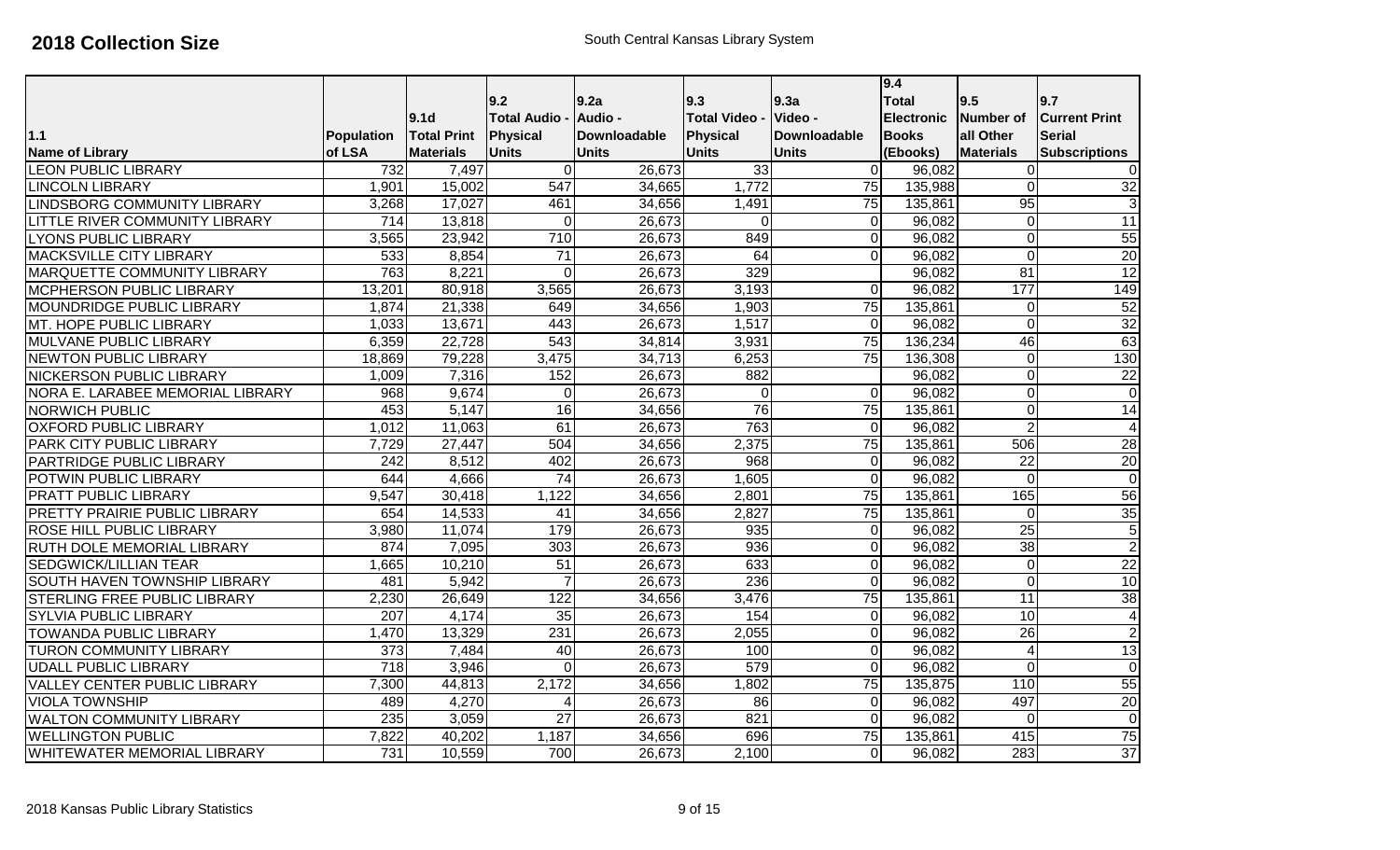|                                      |                  |                                        | 9.2                                   | 9.2a                           | 9.3                             | 9.3a                           | 9.4<br><b>Total</b>               | 9.5                    | 9.7                                   |
|--------------------------------------|------------------|----------------------------------------|---------------------------------------|--------------------------------|---------------------------------|--------------------------------|-----------------------------------|------------------------|---------------------------------------|
| 1.1                                  | Population       | 9.1 <sub>d</sub><br><b>Total Print</b> | <b>Total Audio</b><br><b>Physical</b> | Audio -<br><b>Downloadable</b> | <b>Total Video -</b>            | Video -<br><b>Downloadable</b> | <b>Electronic</b><br><b>Books</b> | Number of<br>all Other | <b>Current Print</b><br><b>Serial</b> |
| <b>Name of Library</b>               | of LSA           | <b>Materials</b>                       | <b>Units</b>                          | <b>Units</b>                   | <b>Physical</b><br><b>Units</b> | <b>Units</b>                   | (Ebooks)                          | <b>Materials</b>       | <b>Subscriptions</b>                  |
| <b>LEON PUBLIC LIBRARY</b>           | 732              | 7,497                                  | $\Omega$                              | 26,673                         | 33                              | 0                              | 96,082                            | $\mathbf 0$            | 0                                     |
| <b>LINCOLN LIBRARY</b>               | 1,901            | 15,002                                 | 547                                   | 34,665                         | 1,772                           | 75                             | 135,988                           | $\overline{0}$         | 32                                    |
| <b>LINDSBORG COMMUNITY LIBRARY</b>   | 3,268            | 17,027                                 | 461                                   | 34,656                         | 1,491                           | 75                             | 135,861                           | 95                     | 3                                     |
| LITTLE RIVER COMMUNITY LIBRARY       | $\overline{714}$ | 13,818                                 | $\overline{0}$                        | 26,673                         | $\Omega$                        | 0                              | 96,082                            | $\mathbf 0$            | $\overline{11}$                       |
| <b>LYONS PUBLIC LIBRARY</b>          | 3,565            | 23,942                                 | 710                                   | 26,673                         | 849                             | 0                              | 96,082                            | $\mathbf 0$            | 55                                    |
| <b>MACKSVILLE CITY LIBRARY</b>       | 533              | 8,854                                  | $\overline{71}$                       | 26,673                         | 64                              | 0                              | 96,082                            | $\mathbf 0$            | $\overline{20}$                       |
| <b>MARQUETTE COMMUNITY LIBRARY</b>   | 763              | 8,221                                  | $\mathbf 0$                           | 26,673                         | 329                             |                                | 96,082                            | 81                     | $\overline{12}$                       |
| <b>MCPHERSON PUBLIC LIBRARY</b>      | 13,201           | 80,918                                 | 3,565                                 | 26,673                         | 3,193                           | $\Omega$                       | 96,082                            | 177                    | 149                                   |
| MOUNDRIDGE PUBLIC LIBRARY            | 1,874            | 21,338                                 | 649                                   | 34,656                         | 1,903                           | $\overline{75}$                | 135,861                           | $\overline{0}$         | 52                                    |
| MT. HOPE PUBLIC LIBRARY              | 1,033            | 13,671                                 | 443                                   | 26,673                         | 1,517                           | $\Omega$                       | 96,082                            | $\overline{0}$         | 32                                    |
| <b>MULVANE PUBLIC LIBRARY</b>        | 6,359            | 22,728                                 | 543                                   | 34,814                         | 3,931                           | 75                             | 136,234                           | 46                     | 63                                    |
| NEWTON PUBLIC LIBRARY                | 18,869           | 79,228                                 | 3,475                                 | 34,713                         | 6,253                           | $\overline{75}$                | 136,308                           | $\mathbf 0$            | 130                                   |
| <b>NICKERSON PUBLIC LIBRARY</b>      | 1,009            | 7,316                                  | 152                                   | 26,673                         | 882                             |                                | 96,082                            | $\overline{0}$         | $\overline{22}$                       |
| NORA E. LARABEE MEMORIAL LIBRARY     | 968              | 9,674                                  | $\mathbf{0}$                          | 26,673                         | $\overline{0}$                  | $\Omega$                       | 96,082                            | $\overline{0}$         | $\overline{0}$                        |
| <b>NORWICH PUBLIC</b>                | 453              | 5,147                                  | 16                                    | 34,656                         | 76                              | $\overline{75}$                | 135,861                           | $\overline{0}$         | $\overline{14}$                       |
| <b>OXFORD PUBLIC LIBRARY</b>         | 1,012            | 11,063                                 | 61                                    | 26,673                         | 763                             | $\Omega$                       | 96,082                            | $\overline{2}$         | $\overline{4}$                        |
| <b>PARK CITY PUBLIC LIBRARY</b>      | 7,729            | 27,447                                 | 504                                   | 34,656                         | 2,375                           | $\overline{75}$                | 135,861                           | 506                    | $\overline{28}$                       |
| <b>PARTRIDGE PUBLIC LIBRARY</b>      | $\overline{242}$ | 8,512                                  | 402                                   | 26,673                         | 968                             | $\overline{0}$                 | 96,082                            | $\overline{22}$        | $\overline{20}$                       |
| POTWIN PUBLIC LIBRARY                | 644              | 4,666                                  | $\overline{74}$                       | 26,673                         | 1,605                           | 0                              | 96,082                            | $\Omega$               | $\overline{0}$                        |
| <b>PRATT PUBLIC LIBRARY</b>          | 9,547            | 30,418                                 | 1,122                                 | 34,656                         | 2,801                           | $\overline{75}$                | 135,861                           | 165                    | 56                                    |
| <b>PRETTY PRAIRIE PUBLIC LIBRARY</b> | 654              | 14,533                                 | 41                                    | 34,656                         | 2,827                           | $\overline{75}$                | 135,861                           | $\overline{0}$         | $\overline{35}$                       |
| <b>ROSE HILL PUBLIC LIBRARY</b>      | 3,980            | 11,074                                 | 179                                   | 26,673                         | 935                             | 0                              | 96,082                            | $\overline{25}$        | 5                                     |
| RUTH DOLE MEMORIAL LIBRARY           | 874              | 7,095                                  | $\overline{303}$                      | 26,673                         | 936                             | 0                              | 96,082                            | $\overline{38}$        | $\overline{2}$                        |
| <b>SEDGWICK/LILLIAN TEAR</b>         | 1,665            | 10,210                                 | 51                                    | 26,673                         | 633                             | 0                              | 96,082                            | $\mathbf 0$            | $\overline{22}$                       |
| <b>SOUTH HAVEN TOWNSHIP LIBRARY</b>  | 481              | 5,942                                  | $\overline{7}$                        | 26,673                         | 236                             | $\overline{0}$                 | 96,082                            | $\overline{0}$         | 10                                    |
| <b>STERLING FREE PUBLIC LIBRARY</b>  | 2,230            | 26,649                                 | 122                                   | 34,656                         | 3,476                           | $\overline{75}$                | 135,861                           | 11                     | 38                                    |
| <b>SYLVIA PUBLIC LIBRARY</b>         | 207              | 4,174                                  | 35                                    | 26,673                         | 154                             | 0                              | 96,082                            | 10                     | $\overline{4}$                        |
| <b>TOWANDA PUBLIC LIBRARY</b>        | 1,470            | 13,329                                 | 231                                   | 26,673                         | 2,055                           | 0                              | 96,082                            | 26                     | $\overline{2}$                        |
| <b>TURON COMMUNITY LIBRARY</b>       | $\overline{373}$ | 7,484                                  | 40                                    | 26,673                         | 100                             | 0                              | 96,082                            | $\overline{4}$         | $\overline{13}$                       |
| <b>UDALL PUBLIC LIBRARY</b>          | $\overline{718}$ | 3,946                                  | $\Omega$                              | 26,673                         | 579                             | $\Omega$                       | 96,082                            | $\overline{0}$         | $\overline{0}$                        |
| <b>VALLEY CENTER PUBLIC LIBRARY</b>  | 7,300            | 44,813                                 | 2,172                                 | 34,656                         | 1,802                           | $\overline{75}$                | 135,875                           | 110                    | 55                                    |
| <b>VIOLA TOWNSHIP</b>                | 489              | 4,270                                  | $\overline{4}$                        | 26,673                         | 86                              | $\overline{O}$                 | 96,082                            | 497                    | 20                                    |
| <b>WALTON COMMUNITY LIBRARY</b>      | 235              | 3,059                                  | $\overline{27}$                       | 26,673                         | $\overline{821}$                | 0                              | 96,082                            | $\overline{0}$         | $\overline{0}$                        |
| <b>WELLINGTON PUBLIC</b>             | 7,822            | 40,202                                 | 1,187                                 | 34,656                         | 696                             | 75                             | 135,861                           | 415                    | 75                                    |
| <b>WHITEWATER MEMORIAL LIBRARY</b>   | 731              | 10,559                                 | 700                                   | 26,673                         | 2,100                           | 0                              | 96,082                            | 283                    | $\overline{37}$                       |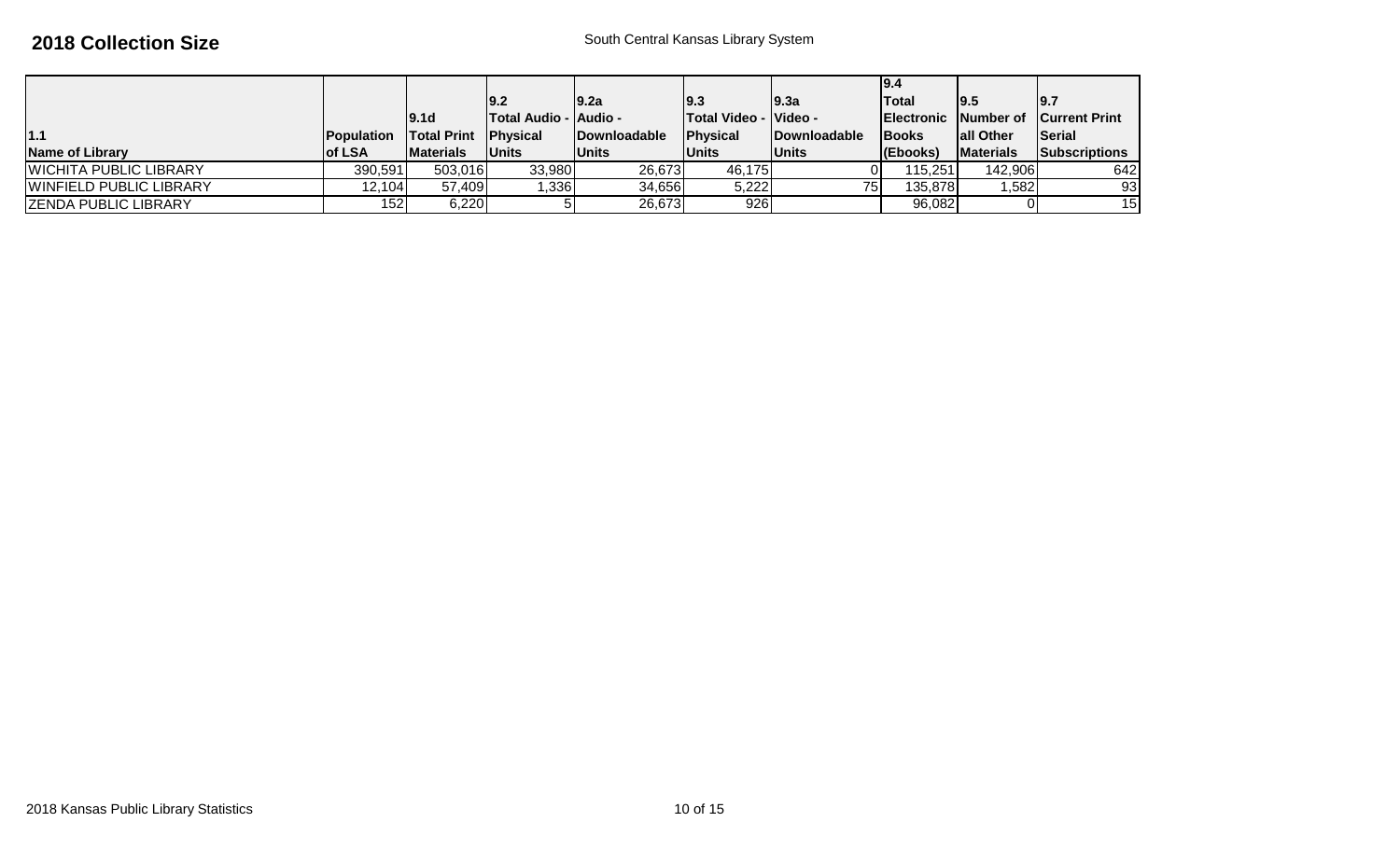|                         |                    |                    |                              |                      |                                |                      | 19.4               |                   |                                |
|-------------------------|--------------------|--------------------|------------------------------|----------------------|--------------------------------|----------------------|--------------------|-------------------|--------------------------------|
|                         |                    |                    | 19.2                         | 19.2a                | 19.3                           | 19.3a                | <b>Total</b>       | 19.5              | 9.7                            |
|                         |                    | 19.1d              | <b>Total Audio - Audio -</b> |                      | <b>ITotal Video - IVideo -</b> |                      | <b>IElectronic</b> |                   | <b>Number of Current Print</b> |
| 1.1                     | <b>IPopulation</b> | <b>Total Print</b> | <b>IPhysical</b>             | <b>IDownloadable</b> | <b>IPhysical</b>               | <b>IDownloadable</b> | <b>IBooks</b>      | <b>lall Other</b> | Serial                         |
| <b>Name of Library</b>  | <b>lof LSA</b>     | <b>IMaterials</b>  | <b>Units</b>                 | <b>Units</b>         | <b>Units</b>                   | <b>Units</b>         | (Ebooks)           | <b>Materials</b>  | <b>Subscriptions</b>           |
| WICHITA PUBLIC LIBRARY  | 390,591            | 503,016            | 33,980                       | 26,673               | 46,175                         |                      | 115,251            | 142,906           | 642                            |
| WINFIELD PUBLIC LIBRARY | 12,104             | 57,409             | .336                         | 34,656               | 5,222                          | 751                  | 135,878            | 1.5821            | 93                             |
| ZENDA PUBLIC LIBRARY    | 152                | 6,220              |                              | 26,673               | 926                            |                      | 96,082             |                   | 15                             |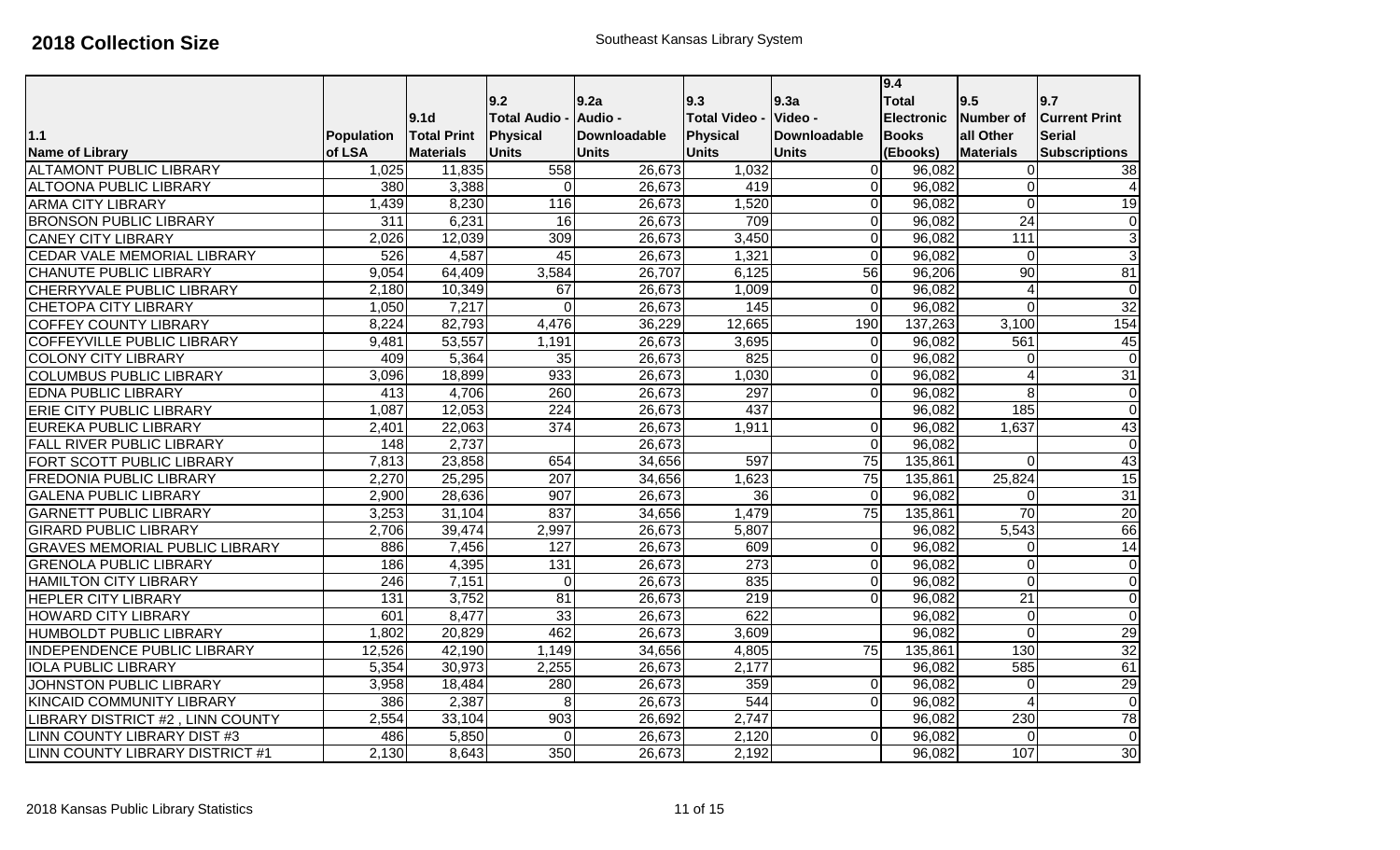|                                       |                  |                    |                    |                     |                      |                     | 9.4               |                         |                      |
|---------------------------------------|------------------|--------------------|--------------------|---------------------|----------------------|---------------------|-------------------|-------------------------|----------------------|
|                                       |                  |                    | 9.2                | 9.2a                | 9.3                  | 9.3a                | <b>Total</b>      | 9.5                     | 9.7                  |
|                                       |                  | 9.1d               | <b>Total Audio</b> | Audio -             | <b>Total Video -</b> | Video -             | <b>Electronic</b> | Number of               | <b>Current Print</b> |
| 1.1                                   | Population       | <b>Total Print</b> | Physical           | <b>Downloadable</b> | <b>Physical</b>      | <b>Downloadable</b> | <b>Books</b>      | all Other               | <b>Serial</b>        |
| <b>Name of Library</b>                | of LSA           | <b>Materials</b>   | <b>Units</b>       | <b>Units</b>        | <b>Units</b>         | <b>Units</b>        | (Ebooks)          | <b>Materials</b>        | <b>Subscriptions</b> |
| <b>ALTAMONT PUBLIC LIBRARY</b>        | 1,025            | 11,835             | 558                | 26,673              | 1,032                | 0                   | 96,082            | 0                       | $\overline{38}$      |
| <b>ALTOONA PUBLIC LIBRARY</b>         | 380              | 3,388              | $\Omega$           | 26,673              | 419                  | 0                   | 96,082            | $\mathbf 0$             | 4                    |
| <b>ARMA CITY LIBRARY</b>              | 1,439            | 8,230              | 116                | 26,673              | 1,520                | Οl                  | 96,082            | $\overline{0}$          | 19                   |
| <b>BRONSON PUBLIC LIBRARY</b>         | $\overline{311}$ | 6,231              | 16                 | 26,673              | 709                  | 0                   | 96,082            | $\overline{24}$         | $\mathbf 0$          |
| <b>CANEY CITY LIBRARY</b>             | 2,026            | 12,039             | 309                | 26,673              | 3,450                | 0                   | 96,082            | 111                     | 3                    |
| <b>CEDAR VALE MEMORIAL LIBRARY</b>    | 526              | 4,587              | 45                 | 26,673              | 1,321                | $\overline{0}$      | 96,082            | $\overline{0}$          | $\overline{3}$       |
| <b>CHANUTE PUBLIC LIBRARY</b>         | 9,054            | 64,409             | 3,584              | 26,707              | 6,125                | 56                  | 96,206            | 90                      | 81                   |
| CHERRYVALE PUBLIC LIBRARY             | 2,180            | 10,349             | 67                 | 26,673              | 1,009                | 0                   | 96,082            | $\overline{4}$          | $\mathbf 0$          |
| <b>CHETOPA CITY LIBRARY</b>           | 1,050            | 7,217              | $\overline{0}$     | 26,673              | 145                  | 0                   | 96,082            | $\mathbf 0$             | 32                   |
| <b>COFFEY COUNTY LIBRARY</b>          | 8,224            | 82,793             | 4,476              | 36,229              | 12,665               | 190                 | 137,263           | 3,100                   | 154                  |
| COFFEYVILLE PUBLIC LIBRARY            | 9,481            | 53,557             | 1,191              | 26,673              | 3,695                | $\Omega$            | 96,082            | 561                     | 45                   |
| <b>COLONY CITY LIBRARY</b>            | 409              | 5,364              | 35                 | 26,673              | 825                  | 0                   | 96,082            | 0                       | $\mathbf 0$          |
| <b>COLUMBUS PUBLIC LIBRARY</b>        | 3,096            | 18,899             | 933                | 26,673              | 1,030                | 0                   | 96,082            | 4                       | 31                   |
| <b>EDNA PUBLIC LIBRARY</b>            | 413              | 4,706              | 260                | 26,673              | 297                  | ΩI                  | 96,082            | 8                       | $\mathbf 0$          |
| <b>ERIE CITY PUBLIC LIBRARY</b>       | 1,087            | 12,053             | $\overline{224}$   | 26,673              | 437                  |                     | 96,082            | 185                     | $\mathbf 0$          |
| <b>EUREKA PUBLIC LIBRARY</b>          | 2,401            | 22,063             | 374                | 26,673              | 1,911                | $\Omega$            | 96,082            | 1,637                   | 43                   |
| <b>FALL RIVER PUBLIC LIBRARY</b>      | 148              | 2,737              |                    | 26,673              |                      | 0                   | 96,082            |                         | $\mathbf 0$          |
| FORT SCOTT PUBLIC LIBRARY             | 7,813            | 23,858             | 654                | 34,656              | 597                  | $\overline{75}$     | 135,861           | $\overline{0}$          | 43                   |
| <b>FREDONIA PUBLIC LIBRARY</b>        | 2,270            | 25,295             | 207                | 34,656              | 1,623                | $\overline{75}$     | 135,861           | 25,824                  | 15                   |
| <b>GALENA PUBLIC LIBRARY</b>          | 2,900            | 28,636             | 907                | 26,673              | $\overline{36}$      | $\Omega$            | 96,082            | $\overline{0}$          | 31                   |
| <b>GARNETT PUBLIC LIBRARY</b>         | 3,253            | 31,104             | 837                | 34,656              | 1,479                | 75                  | 135,861           | 70                      | 20                   |
| <b>GIRARD PUBLIC LIBRARY</b>          | 2,706            | 39,474             | 2,997              | 26,673              | 5,807                |                     | 96,082            | 5,543                   | 66                   |
| <b>GRAVES MEMORIAL PUBLIC LIBRARY</b> | 886              | 7,456              | 127                | 26,673              | 609                  | $\Omega$            | 96,082            | 0                       | 14                   |
| <b>GRENOLA PUBLIC LIBRARY</b>         | 186              | 4,395              | 131                | 26,673              | 273                  | 0                   | 96,082            | $\mathbf 0$             | $\overline{0}$       |
| <b>HAMILTON CITY LIBRARY</b>          | 246              | 7,151              | $\overline{0}$     | 26,673              | 835                  | 0                   | 96,082            | $\overline{0}$          | $\overline{0}$       |
| <b>HEPLER CITY LIBRARY</b>            | 131              | 3,752              | 81                 | 26,673              | 219                  | 0                   | 96,082            | $\overline{21}$         | $\overline{0}$       |
| <b>HOWARD CITY LIBRARY</b>            | 601              | 8,477              | 33                 | 26,673              | 622                  |                     | 96,082            | $\boldsymbol{0}$        | $\overline{0}$       |
| <b>HUMBOLDT PUBLIC LIBRARY</b>        | 1,802            | 20,829             | 462                | 26,673              | 3,609                |                     | 96,082            | $\overline{0}$          | 29                   |
| <b>INDEPENDENCE PUBLIC LIBRARY</b>    | 12,526           | 42,190             | 1,149              | 34,656              | 4,805                | $\overline{75}$     | 135,861           | 130                     | 32                   |
| <b>IOLA PUBLIC LIBRARY</b>            | 5,354            | 30,973             | 2,255              | 26,673              | 2,177                |                     | 96,082            | 585                     | 61                   |
| JOHNSTON PUBLIC LIBRARY               | 3,958            | 18,484             | 280                | 26,673              | 359                  | $\Omega$            | 96,082            | $\overline{0}$          | 29                   |
| <b>KINCAID COMMUNITY LIBRARY</b>      | 386              | 2,387              | 8 <sup>1</sup>     | 26,673              | 544                  | $\Omega$            | 96,082            | $\overline{\mathbf{A}}$ | $\overline{0}$       |
| LIBRARY DISTRICT #2, LINN COUNTY      | 2,554            | 33,104             | 903                | 26,692              | 2,747                |                     | 96,082            | 230                     | 78                   |
| LINN COUNTY LIBRARY DIST #3           | 486              | 5,850              | $\Omega$           | 26,673              | 2,120                | 0                   | 96,082            | $\Omega$                | $\mathbf 0$          |
| LINN COUNTY LIBRARY DISTRICT #1       | 2,130            | 8,643              | 350                | 26,673              | 2,192                |                     | 96,082            | 107                     | $\overline{30}$      |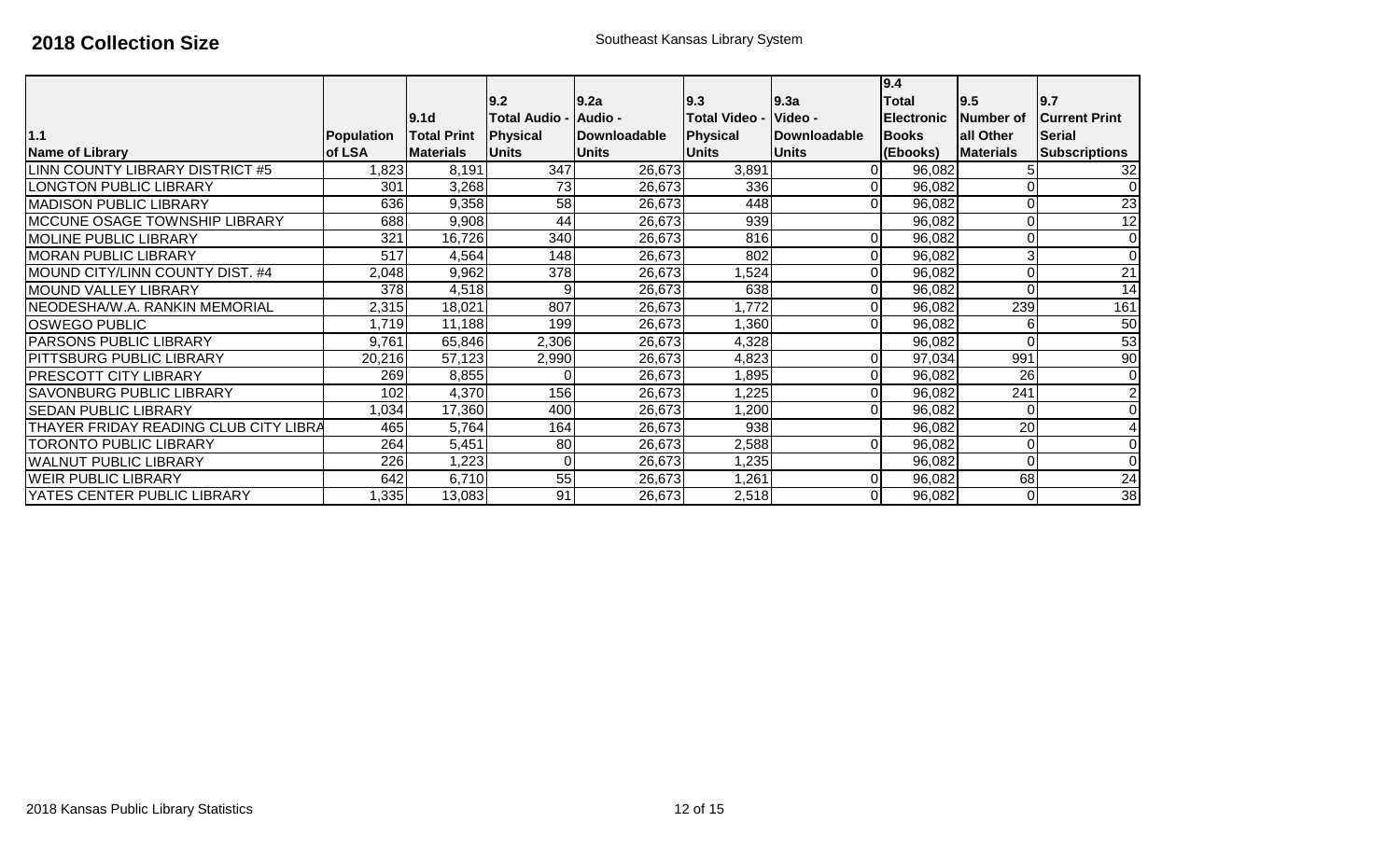|                                       |            | <b>9.1d</b>        | 9.2 <br><b>Total Audio -</b> | 9.2a<br><b>Audio -</b> | 9.3<br><b>Total Video -</b> | 9.3a<br>Video - | 9.4<br><b>Total</b><br><b>Electronic</b> | 9.5<br>Number of | 9.7<br><b>ICurrent Print</b> |
|---------------------------------------|------------|--------------------|------------------------------|------------------------|-----------------------------|-----------------|------------------------------------------|------------------|------------------------------|
| 1.1                                   | Population | <b>Total Print</b> | Physical                     | Downloadable           | Physical                    | Downloadable    | <b>Books</b>                             | all Other        | <b>Serial</b>                |
| <b>Name of Library</b>                | of LSA     | <b>Materials</b>   | <b>Units</b>                 | <b>Units</b>           | <b>Units</b>                | <b>Units</b>    | (Ebooks)                                 | <b>Materials</b> | <b>Subscriptions</b>         |
| LINN COUNTY LIBRARY DISTRICT #5       | ,823       | 8,191              | 347                          | 26,673                 | 3,891                       |                 | 96,082                                   |                  | 32                           |
| <b>LONGTON PUBLIC LIBRARY</b>         | 301        | 3,268              | 73                           | 26,673                 | 336                         |                 | 96,082                                   |                  | $\Omega$                     |
| <b>MADISON PUBLIC LIBRARY</b>         | 636        | 9,358              | 58                           | 26,673                 | 448                         |                 | 96,082                                   |                  | $\overline{23}$              |
| <b>IMCCUNE OSAGE TOWNSHIP LIBRARY</b> | 688        | 9,908              | 44                           | 26,673                 | 939                         |                 | 96,082                                   |                  | 12                           |
| <b>MOLINE PUBLIC LIBRARY</b>          | 321        | 16,726             | 340                          | 26,673                 | 816                         |                 | 96,082                                   | 0                | $\Omega$                     |
| <b>MORAN PUBLIC LIBRARY</b>           | 517        | 4,564              | 148                          | 26,673                 | 802                         |                 | 96,082                                   | 3                | $\Omega$                     |
| MOUND CITY/LINN COUNTY DIST. #4       | 2,048      | 9,962              | 378                          | 26,673                 | ,524                        |                 | 96,082                                   | 0                | 21                           |
| MOUND VALLEY LIBRARY                  | 378        | 4,518              | 9                            | 26,673                 | 638                         |                 | 96,082                                   | 0                | 14                           |
| NEODESHA/W.A. RANKIN MEMORIAL         | 2,315      | 18,021             | 807                          | 26,673                 | 1,772                       |                 | 96,082                                   | 239              | 161                          |
| <b>IOSWEGO PUBLIC</b>                 | 1,719      | 11,188             | 199                          | 26,673                 | 1,360                       |                 | 96,082                                   | 6                | 50                           |
| <b>PARSONS PUBLIC LIBRARY</b>         | 9,761      | 65,846             | 2,306                        | 26,673                 | 4,328                       |                 | 96,082                                   | 0                | 53                           |
| <b>PITTSBURG PUBLIC LIBRARY</b>       | 20,216     | 57,123             | 2,990                        | 26,673                 | 4,823                       | 0               | 97,034                                   | 991              | 90                           |
| <b>PRESCOTT CITY LIBRARY</b>          | 269        | 8,855              | 01                           | 26,673                 | 1,895                       |                 | 96,082                                   | 26               | $\Omega$                     |
| <b>SAVONBURG PUBLIC LIBRARY</b>       | 102        | 4,370              | 156                          | 26,673                 | 1,225                       |                 | 96,082                                   | 241              | $\overline{2}$               |
| <b>SEDAN PUBLIC LIBRARY</b>           | 1,034      | 17,360             | 400                          | 26,673                 | ,200                        |                 | 96,082                                   | 0                | 0                            |
| THAYER FRIDAY READING CLUB CITY LIBRA | 465        | 5,764              | 164                          | 26,673                 | 938                         |                 | 96,082                                   | 20               | 4                            |
| <b>TORONTO PUBLIC LIBRARY</b>         | 264        | 5,451              | 80                           | 26,673                 | 2,588                       | 0               | 96,082                                   | 0                | $\Omega$                     |
| <b>WALNUT PUBLIC LIBRARY</b>          | 226        | 1,223              | $\overline{0}$               | 26,673                 | 1,235                       |                 | 96,082                                   | 0                | $\Omega$                     |
| <b>WEIR PUBLIC LIBRARY</b>            | 642        | 6,710              | 55                           | 26,673                 | 1,261                       |                 | 96,082                                   | 68               | $\overline{24}$              |
| YATES CENTER PUBLIC LIBRARY           | ,335       | 13,083             | 91                           | 26,673                 | 2,518                       |                 | 96,082                                   | $\Omega$         | $\overline{38}$              |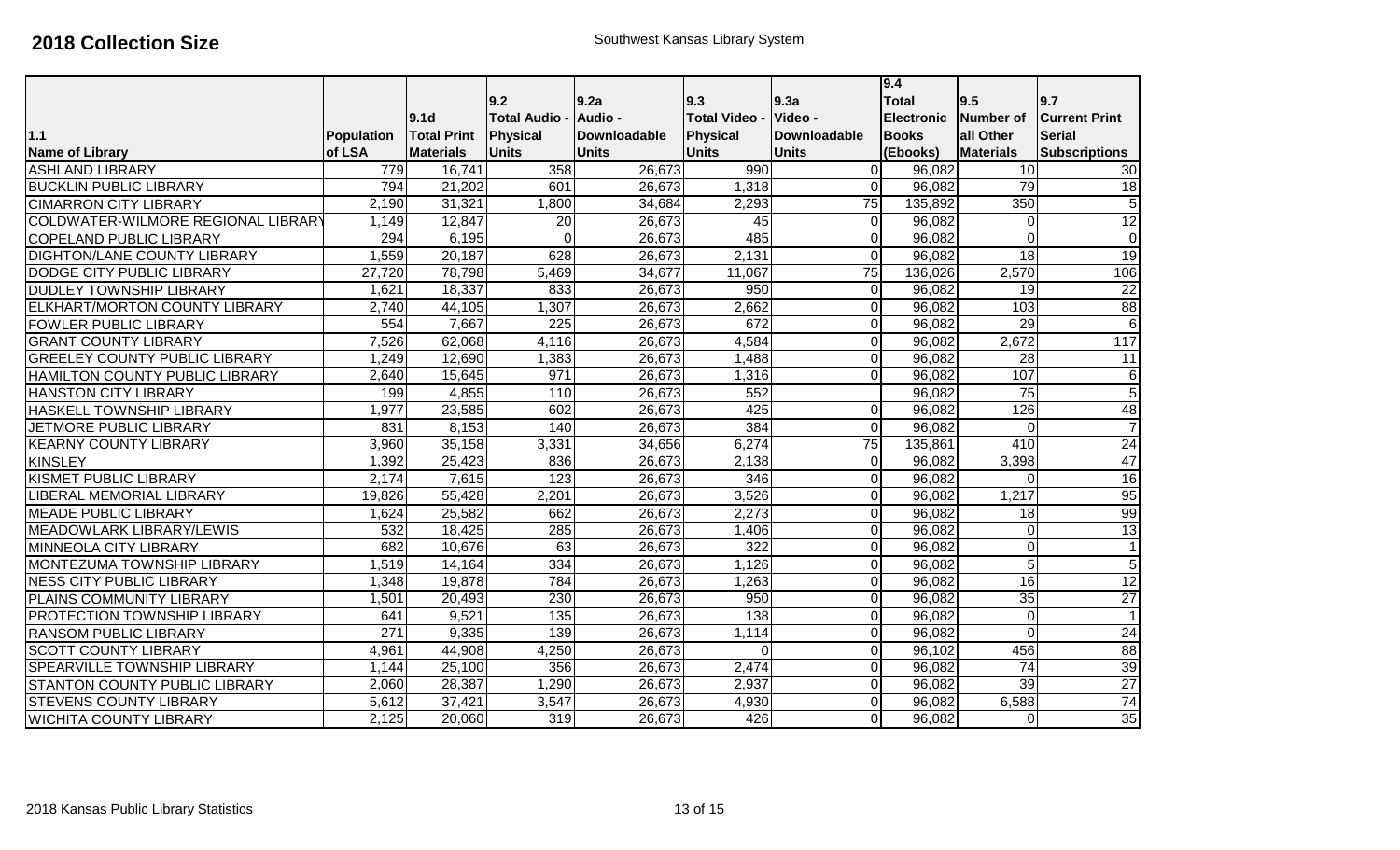|                                      |            |                    |                    |                     |                    |                 | 9.4               |                  |                      |
|--------------------------------------|------------|--------------------|--------------------|---------------------|--------------------|-----------------|-------------------|------------------|----------------------|
|                                      |            |                    | 9.2                | 9.2a                | 9.3                | 9.3a            | <b>Total</b>      | 9.5              | 9.7                  |
|                                      |            | 9.1 <sub>d</sub>   | <b>Total Audio</b> | Audio -             | <b>Total Video</b> | Video -         | <b>Electronic</b> | <b>Number of</b> | lCurrent Print       |
| $1.1$                                | Population | <b>Total Print</b> | <b>Physical</b>    | <b>Downloadable</b> | <b>Physical</b>    | Downloadable    | <b>Books</b>      | all Other        | <b>Serial</b>        |
| <b>Name of Library</b>               | of LSA     | <b>Materials</b>   | <b>Units</b>       | <b>Units</b>        | <b>Units</b>       | <b>Units</b>    | (Ebooks)          | <b>Materials</b> | <b>Subscriptions</b> |
| <b>ASHLAND LIBRARY</b>               | 779        | 16,741             | 358                | 26,673              | 990                | $\Omega$        | 96,082            | 10               | 30                   |
| <b>BUCKLIN PUBLIC LIBRARY</b>        | 794        | 21,202             | 601                | 26,673              | 1,318              | $\Omega$        | 96,082            | 79               | 18                   |
| <b>CIMARRON CITY LIBRARY</b>         | 2,190      | 31,321             | 1,800              | 34,684              | 2,293              | $\overline{75}$ | 135,892           | 350              | $\overline{5}$       |
| COLDWATER-WILMORE REGIONAL LIBRARY   | 1,149      | 12,847             | $\overline{20}$    | 26,673              | 45                 | $\Omega$        | 96,082            | $\pmb{0}$        | 12                   |
| <b>COPELAND PUBLIC LIBRARY</b>       | 294        | 6,195              | $\Omega$           | 26,673              | 485                | $\Omega$        | 96,082            | 0                | $\overline{0}$       |
| DIGHTON/LANE COUNTY LIBRARY          | 1,559      | 20,187             | 628                | 26,673              | 2,131              | $\Omega$        | 96,082            | $\overline{18}$  | $\overline{19}$      |
| <b>DODGE CITY PUBLIC LIBRARY</b>     | 27,720     | 78,798             | 5,469              | 34,677              | 11,067             | $\overline{75}$ | 136,026           | 2,570            | 106                  |
| <b>DUDLEY TOWNSHIP LIBRARY</b>       | 1,621      | 18,337             | 833                | 26,673              | 950                | $\Omega$        | 96,082            | 19               | 22                   |
| <b>ELKHART/MORTON COUNTY LIBRARY</b> | 2,740      | 44,105             | 1,307              | 26,673              | 2,662              | $\Omega$        | 96,082            | 103              | 88                   |
| <b>FOWLER PUBLIC LIBRARY</b>         | 554        | 7,667              | 225                | 26,673              | 672                | $\Omega$        | 96,082            | $\overline{29}$  | $\,6$                |
| <b>GRANT COUNTY LIBRARY</b>          | 7,526      | 62,068             | 4,116              | 26,673              | 4,584              | ΩI              | 96,082            | 2,672            | $\overline{117}$     |
| <b>GREELEY COUNTY PUBLIC LIBRARY</b> | 1,249      | 12,690             | 1,383              | 26,673              | 1,488              | $\Omega$        | 96,082            | $\overline{28}$  | $\overline{11}$      |
| HAMILTON COUNTY PUBLIC LIBRARY       | 2,640      | 15,645             | 971                | 26,673              | 1,316              | $\Omega$        | 96,082            | 107              | 6                    |
| <b>HANSTON CITY LIBRARY</b>          | 199        | 4,855              | 110                | 26,673              | 552                |                 | 96,082            | $\overline{75}$  | $\overline{5}$       |
| HASKELL TOWNSHIP LIBRARY             | 1,977      | 23,585             | 602                | 26,673              | 425                | 0               | 96,082            | 126              | 48                   |
| JETMORE PUBLIC LIBRARY               | 831        | 8,153              | 140                | 26,673              | 384                | $\Omega$        | 96,082            | $\mathbf 0$      | $\overline{7}$       |
| <b>KEARNY COUNTY LIBRARY</b>         | 3,960      | 35,158             | 3,331              | 34,656              | 6,274              | 75              | 135,861           | 410              | 24                   |
| <b>KINSLEY</b>                       | 1,392      | 25,423             | 836                | 26,673              | 2,138              | $\Omega$        | 96,082            | 3,398            | $\overline{47}$      |
| <b>KISMET PUBLIC LIBRARY</b>         | 2,174      | 7,615              | $\overline{123}$   | 26,673              | 346                | $\Omega$        | 96,082            | $\Omega$         | 16                   |
| LIBERAL MEMORIAL LIBRARY             | 19,826     | 55,428             | 2,201              | 26,673              | 3,526              | $\Omega$        | 96,082            | 1,217            | 95                   |
| <b>MEADE PUBLIC LIBRARY</b>          | 1,624      | 25,582             | 662                | 26,673              | 2,273              | $\Omega$        | 96,082            | $\overline{18}$  | 99                   |
| MEADOWLARK LIBRARY/LEWIS             | 532        | 18,425             | 285                | 26,673              | 1,406              | $\Omega$        | 96,082            | 0                | 13                   |
| MINNEOLA CITY LIBRARY                | 682        | 10,676             | 63                 | 26,673              | $\overline{322}$   | $\Omega$        | 96,082            | $\overline{0}$   | $\mathbf{1}$         |
| MONTEZUMA TOWNSHIP LIBRARY           | 1,519      | 14,164             | 334                | 26,673              | 1,126              | $\Omega$        | 96,082            | $\overline{5}$   | $\overline{5}$       |
| <b>NESS CITY PUBLIC LIBRARY</b>      | 1,348      | 19,878             | 784                | 26,673              | 1,263              | $\Omega$        | 96,082            | 16               | 12                   |
| PLAINS COMMUNITY LIBRARY             | 1,501      | 20,493             | 230                | 26,673              | 950                | $\Omega$        | 96,082            | 35               | $\overline{27}$      |
| PROTECTION TOWNSHIP LIBRARY          | 641        | 9,521              | 135                | 26,673              | 138                | $\Omega$        | 96,082            | $\mathbf 0$      | $\mathbf{1}$         |
| <b>RANSOM PUBLIC LIBRARY</b>         | 271        | 9,335              | 139                | 26,673              | 1,114              | $\Omega$        | 96,082            | $\Omega$         | 24                   |
| <b>SCOTT COUNTY LIBRARY</b>          | 4,961      | 44,908             | 4,250              | 26,673              | $\mathbf 0$        | $\Omega$        | 96,102            | 456              | $\overline{88}$      |
| <b>SPEARVILLE TOWNSHIP LIBRARY</b>   | 1,144      | 25,100             | 356                | 26,673              | 2,474              | $\Omega$        | 96,082            | $\overline{74}$  | 39                   |
| <b>STANTON COUNTY PUBLIC LIBRARY</b> | 2,060      | 28,387             | 1,290              | 26,673              | 2,937              | $\Omega$        | 96,082            | 39               | $\overline{27}$      |
| <b>STEVENS COUNTY LIBRARY</b>        | 5,612      | 37,421             | 3,547              | 26,673              | 4,930              | $\Omega$        | 96,082            | 6,588            | $\overline{74}$      |
| <b>WICHITA COUNTY LIBRARY</b>        | 2,125      | 20,060             | 319                | 26,673              | 426                | $\Omega$        | 96,082            | 0                | 35                   |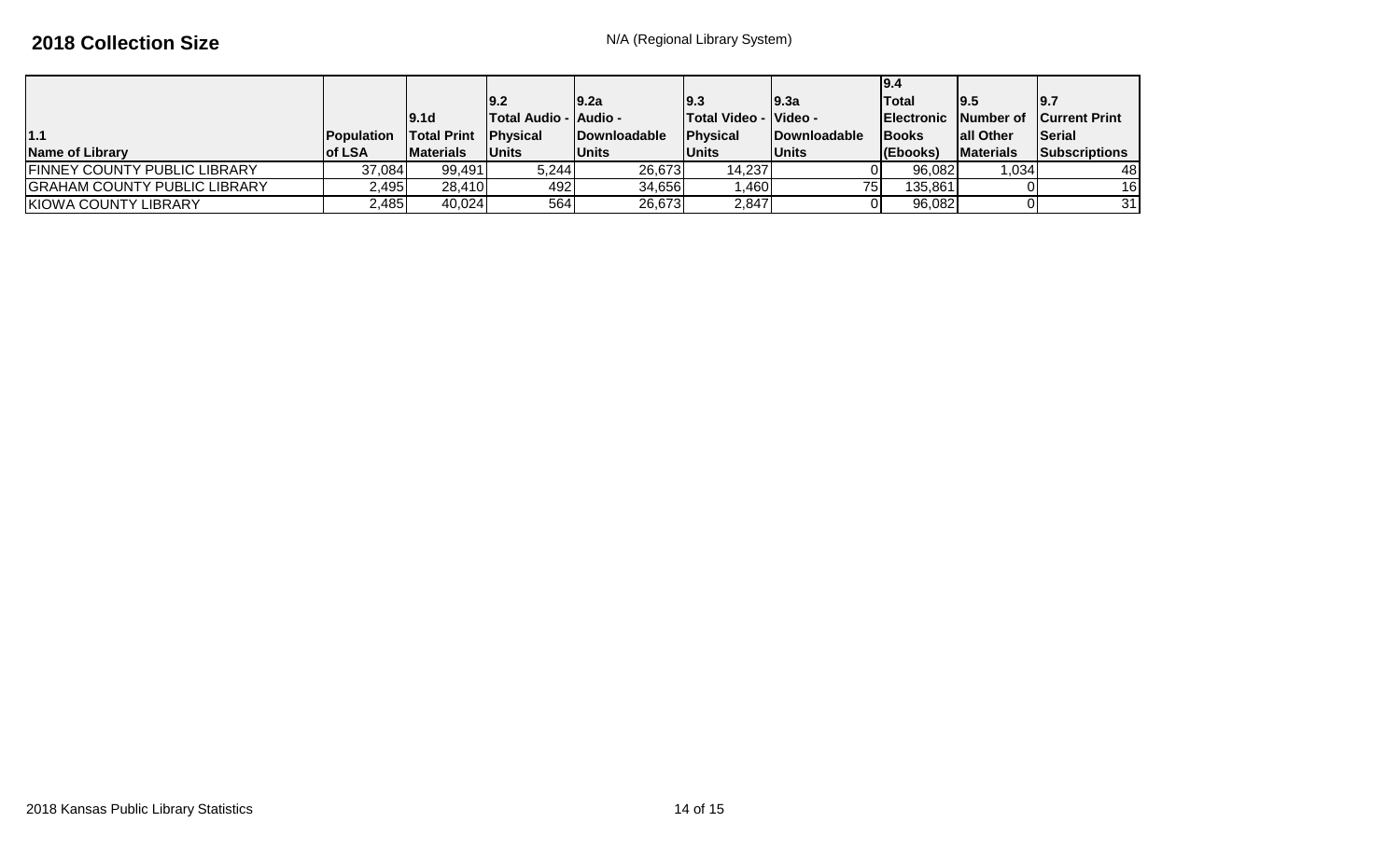|                              |                    |                    |                                |                      |                              |                      | 19.4               |                   |                                |
|------------------------------|--------------------|--------------------|--------------------------------|----------------------|------------------------------|----------------------|--------------------|-------------------|--------------------------------|
|                              |                    |                    | 19.2                           | 19.2a                | 19.3                         | 19.3a                | <b>Total</b>       | 19.5              | 9.7                            |
|                              |                    | 19.1d              | <b>ITotal Audio - IAudio -</b> |                      | <b>Total Video - Video -</b> |                      | <b>IElectronic</b> |                   | <b>Number of Current Print</b> |
| 1.1                          | <b>IPopulation</b> | <b>Total Print</b> | <b>IPhysical</b>               | <b>IDownloadable</b> | <b>IPhysical</b>             | <b>IDownloadable</b> | <b>IBooks</b>      | <b>lall Other</b> | Serial                         |
| <b>Name of Library</b>       | <b>lof LSA</b>     | <b>IMaterials</b>  | <b>Units</b>                   | <b>Units</b>         | <b>Units</b>                 | <b>Units</b>         | (Ebooks)           | <b>Materials</b>  | Subscriptions                  |
| FINNEY COUNTY PUBLIC LIBRARY | 37,084             | 99,491             | 5,244                          | 26,673               | 14,237                       |                      | 96,082             | 1.0341            | 48                             |
| GRAHAM COUNTY PUBLIC LIBRARY | 2,495              | 28,410             | 492 I                          | 34,656               | 1,460                        | 75 <sub>l</sub>      | 135,861            |                   | 16                             |
| KIOWA COUNTY LIBRARY         | 2,485              | 40,024             | 564                            | 26,673               | 2,847                        |                      | 96,082             |                   | 31                             |